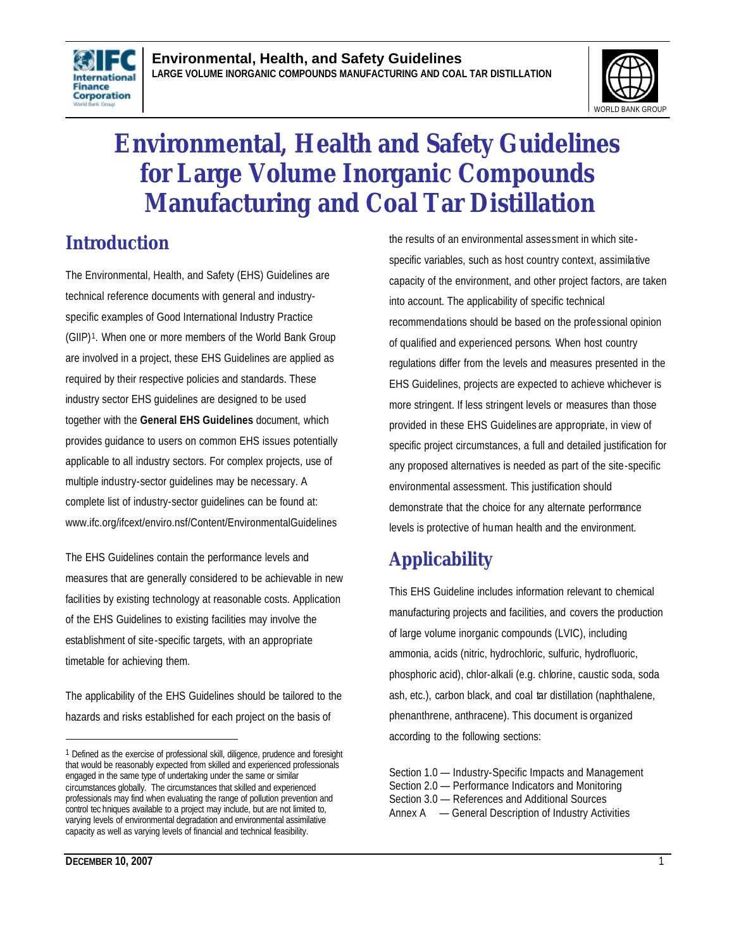



# **Environmental, Health and Safety Guidelines for Large Volume Inorganic Compounds Manufacturing and Coal Tar Distillation**

### **Introduction**

The Environmental, Health, and Safety (EHS) Guidelines are technical reference documents with general and industryspecific examples of Good International Industry Practice (GIIP)1. When one or more members of the World Bank Group are involved in a project, these EHS Guidelines are applied as required by their respective policies and standards. These industry sector EHS guidelines are designed to be used together with the **General EHS Guidelines** document, which provides guidance to users on common EHS issues potentially applicable to all industry sectors. For complex projects, use of multiple industry-sector guidelines may be necessary. A complete list of industry-sector guidelines can be found at: www.ifc.org/ifcext/enviro.nsf/Content/EnvironmentalGuidelines

The EHS Guidelines contain the performance levels and measures that are generally considered to be achievable in new facilities by existing technology at reasonable costs. Application of the EHS Guidelines to existing facilities may involve the establishment of site-specific targets, with an appropriate timetable for achieving them.

The applicability of the EHS Guidelines should be tailored to the hazards and risks established for each project on the basis of

the results of an environmental assessment in which sitespecific variables, such as host country context, assimilative capacity of the environment, and other project factors, are taken into account. The applicability of specific technical recommendations should be based on the professional opinion of qualified and experienced persons. When host country regulations differ from the levels and measures presented in the EHS Guidelines, projects are expected to achieve whichever is more stringent. If less stringent levels or measures than those provided in these EHS Guidelines are appropriate, in view of specific project circumstances, a full and detailed justification for any proposed alternatives is needed as part of the site-specific environmental assessment. This justification should demonstrate that the choice for any alternate performance levels is protective of human health and the environment.

## **Applicability**

This EHS Guideline includes information relevant to chemical manufacturing projects and facilities, and covers the production of large volume inorganic compounds (LVIC), including ammonia, acids (nitric, hydrochloric, sulfuric, hydrofluoric, phosphoric acid), chlor-alkali (e.g. chlorine, caustic soda, soda ash, etc.), carbon black, and coal tar distillation (naphthalene, phenanthrene, anthracene). This document is organized according to the following sections:

<sup>&</sup>lt;sup>1</sup> Defined as the exercise of professional skill, diligence, prudence and foresight that would be reasonably expected from skilled and experienced professionals engaged in the same type of undertaking under the same or similar circumstances globally. The circumstances that skilled and experienced professionals may find when evaluating the range of pollution prevention and control tec hniques available to a project may include, but are not limited to, varying levels of environmental degradation and environmental assimilative capacity as well as varying levels of financial and technical feasibility.

Section 1.0 — Industry-Specific Impacts and Management Section 2.0 — Performance Indicators and Monitoring Section 3.0 — References and Additional Sources Annex A — General Description of Industry Activities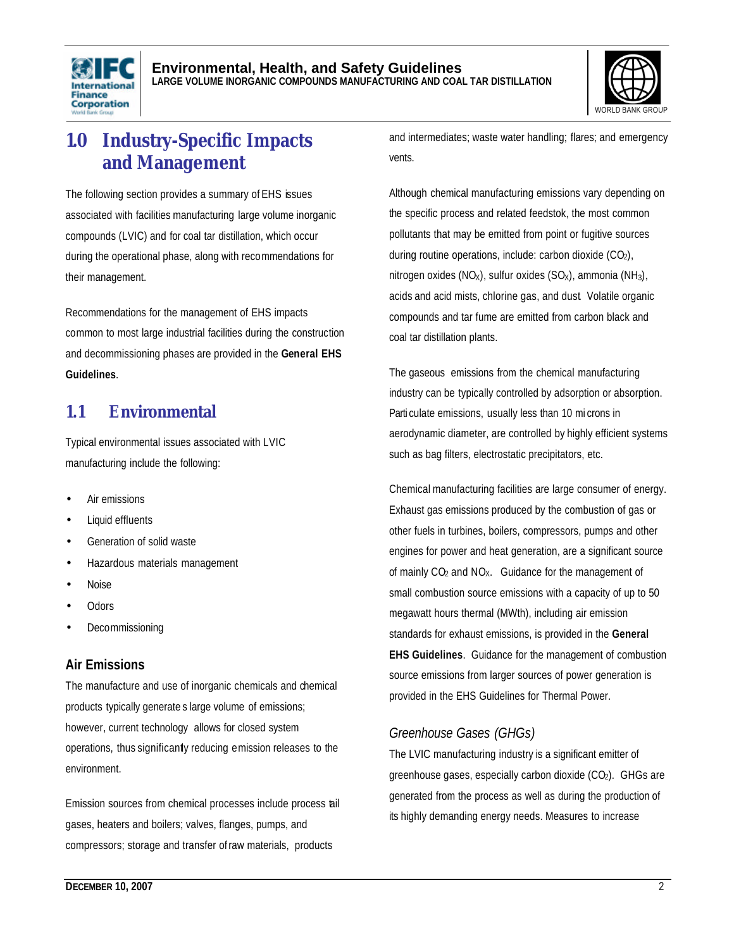



### **1.0 Industry-Specific Impacts and Management**

The following section provides a summary of EHS issues associated with facilities manufacturing large volume inorganic compounds (LVIC) and for coal tar distillation, which occur during the operational phase, along with recommendations for their management.

Recommendations for the management of EHS impacts common to most large industrial facilities during the construction and decommissioning phases are provided in the **General EHS Guidelines**.

### **1.1 Environmental**

Typical environmental issues associated with LVIC manufacturing include the following:

- Air emissions
- Liquid effluents
- Generation of solid waste
- Hazardous materials management
- Noise
- **Odors**
- Decommissioning

#### **Air Emissions**

The manufacture and use of inorganic chemicals and chemical products typically generate s large volume of emissions; however, current technology allows for closed system operations, thus significantly reducing emission releases to the environment.

Emission sources from chemical processes include process tail gases, heaters and boilers; valves, flanges, pumps, and compressors; storage and transfer of raw materials, products

and intermediates; waste water handling; flares; and emergency vents.

Although chemical manufacturing emissions vary depending on the specific process and related feedstok, the most common pollutants that may be emitted from point or fugitive sources during routine operations, include: carbon dioxide  $(CO<sub>2</sub>)$ , nitrogen oxides (NO<sub>X</sub>), sulfur oxides (SO<sub>X</sub>), ammonia (NH<sub>3</sub>), acids and acid mists, chlorine gas, and dust. Volatile organic compounds and tar fume are emitted from carbon black and coal tar distillation plants.

The gaseous emissions from the chemical manufacturing industry can be typically controlled by adsorption or absorption. Parti culate emissions, usually less than 10 mi crons in aerodynamic diameter, are controlled by highly efficient systems such as bag filters, electrostatic precipitators, etc.

Chemical manufacturing facilities are large consumer of energy. Exhaust gas emissions produced by the combustion of gas or other fuels in turbines, boilers, compressors, pumps and other engines for power and heat generation, are a significant source of mainly  $CO<sub>2</sub>$  and  $NO<sub>X</sub>$ . Guidance for the management of small combustion source emissions with a capacity of up to 50 megawatt hours thermal (MWth), including air emission standards for exhaust emissions, is provided in the **General EHS Guidelines**. Guidance for the management of combustion source emissions from larger sources of power generation is provided in the EHS Guidelines for Thermal Power.

#### *Greenhouse Gases (GHGs)*

The LVIC manufacturing industry is a significant emitter of greenhouse gases, especially carbon dioxide  $(CO<sub>2</sub>)$ . GHGs are generated from the process as well as during the production of its highly demanding energy needs. Measures to increase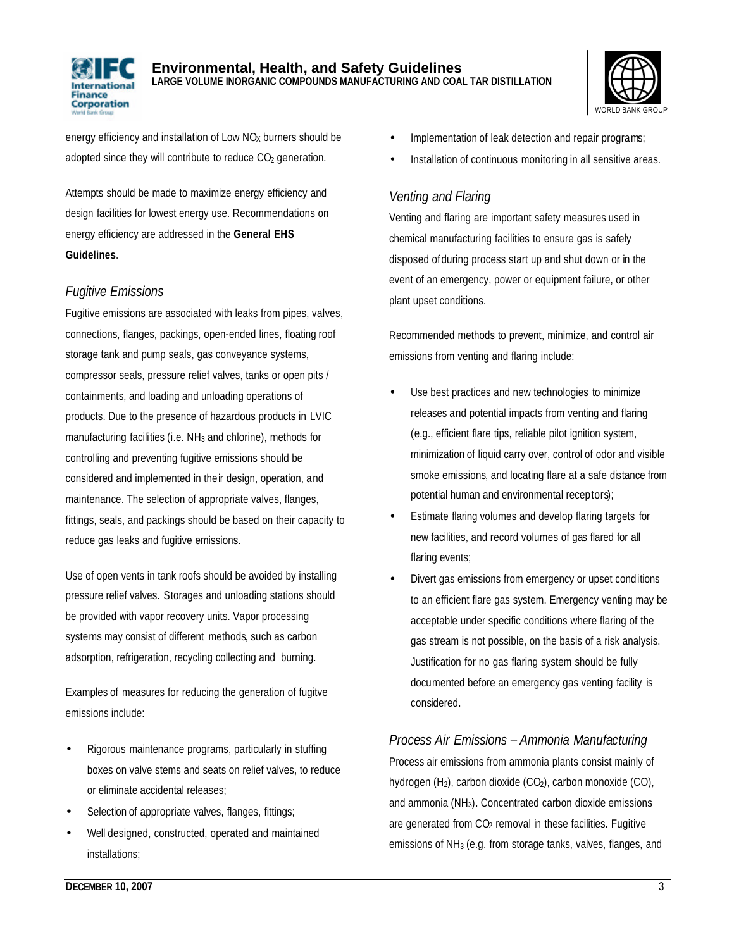



energy efficiency and installation of Low  $NO<sub>X</sub>$  burners should be adopted since they will contribute to reduce CO<sub>2</sub> generation.

Attempts should be made to maximize energy efficiency and design facilities for lowest energy use. Recommendations on energy efficiency are addressed in the **General EHS Guidelines**.

#### *Fugitive Emissions*

Fugitive emissions are associated with leaks from pipes, valves, connections, flanges, packings, open-ended lines, floating roof storage tank and pump seals, gas conveyance systems, compressor seals, pressure relief valves, tanks or open pits / containments, and loading and unloading operations of products. Due to the presence of hazardous products in LVIC manufacturing facilities (i.e. NH<sub>3</sub> and chlorine), methods for controlling and preventing fugitive emissions should be considered and implemented in their design, operation, and maintenance. The selection of appropriate valves, flanges, fittings, seals, and packings should be based on their capacity to reduce gas leaks and fugitive emissions.

Use of open vents in tank roofs should be avoided by installing pressure relief valves. Storages and unloading stations should be provided with vapor recovery units. Vapor processing systems may consist of different methods, such as carbon adsorption, refrigeration, recycling collecting and burning.

Examples of measures for reducing the generation of fugitve emissions include:

- Rigorous maintenance programs, particularly in stuffing boxes on valve stems and seats on relief valves, to reduce or eliminate accidental releases;
- Selection of appropriate valves, flanges, fittings;
- Well designed, constructed, operated and maintained installations;
- Implementation of leak detection and repair programs;
- Installation of continuous monitoring in all sensitive areas.

#### *Venting and Flaring*

Venting and flaring are important safety measures used in chemical manufacturing facilities to ensure gas is safely disposed of during process start up and shut down or in the event of an emergency, power or equipment failure, or other plant upset conditions.

Recommended methods to prevent, minimize, and control air emissions from venting and flaring include:

- Use best practices and new technologies to minimize releases and potential impacts from venting and flaring (e.g., efficient flare tips, reliable pilot ignition system, minimization of liquid carry over, control of odor and visible smoke emissions, and locating flare at a safe distance from potential human and environmental receptors);
- Estimate flaring volumes and develop flaring targets for new facilities, and record volumes of gas flared for all flaring events;
- Divert gas emissions from emergency or upset conditions to an efficient flare gas system. Emergency venting may be acceptable under specific conditions where flaring of the gas stream is not possible, on the basis of a risk analysis. Justification for no gas flaring system should be fully documented before an emergency gas venting facility is considered.

#### *Process Air Emissions – Ammonia Manufacturing*

Process air emissions from ammonia plants consist mainly of hydrogen  $(H_2)$ , carbon dioxide  $(CO_2)$ , carbon monoxide  $(CO)$ , and ammonia (NH3). Concentrated carbon dioxide emissions are generated from CO<sub>2</sub> removal in these facilities. Fugitive emissions of NH<sub>3</sub> (e.g. from storage tanks, valves, flanges, and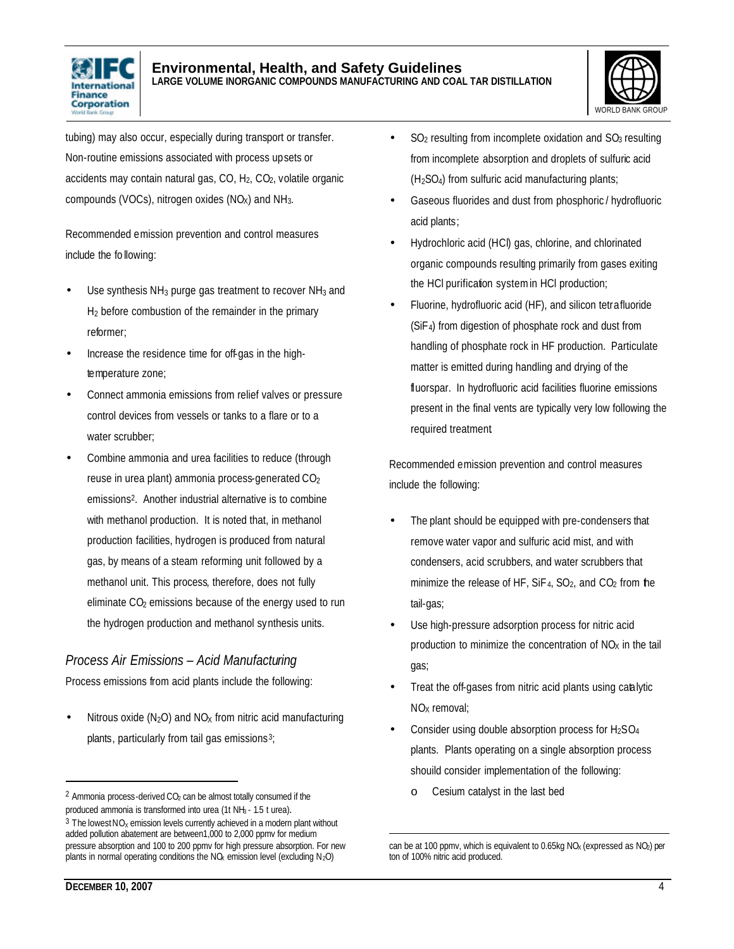



tubing) may also occur, especially during transport or transfer. Non-routine emissions associated with process upsets or accidents may contain natural gas, CO, H<sub>2</sub>, CO<sub>2</sub>, volatile organic compounds (VOCs), nitrogen oxides (NO<sub> $x$ </sub>) and NH<sub>3</sub>.

Recommended emission prevention and control measures include the fo llowing:

- Use synthesis NH<sub>3</sub> purge gas treatment to recover NH<sub>3</sub> and H2 before combustion of the remainder in the primary reformer;
- Increase the residence time for off-gas in the hightemperature zone;
- Connect ammonia emissions from relief valves or pressure control devices from vessels or tanks to a flare or to a water scrubber;
- Combine ammonia and urea facilities to reduce (through reuse in urea plant) ammonia process-generated CO<sup>2</sup> emissions2. Another industrial alternative is to combine with methanol production. It is noted that, in methanol production facilities, hydrogen is produced from natural gas, by means of a steam reforming unit followed by a methanol unit. This process, therefore, does not fully eliminate CO<sub>2</sub> emissions because of the energy used to run the hydrogen production and methanol synthesis units.

#### *Process Air Emissions – Acid Manufacturing*

Process emissions from acid plants include the following:

Nitrous oxide ( $N_2$ O) and  $N_{\text{Ox}}$  from nitric acid manufacturing plants, particularly from tail gas emissions <sup>3</sup>;

- SO<sub>2</sub> resulting from incomplete oxidation and SO<sub>3</sub> resulting from incomplete absorption and droplets of sulfuric acid (H2SO4) from sulfuric acid manufacturing plants;
- Gaseous fluorides and dust from phosphoric / hydrofluoric acid plants;
- Hydrochloric acid (HCl) gas, chlorine, and chlorinated organic compounds resulting primarily from gases exiting the HCl purification system in HCl production;
- Fluorine, hydrofluoric acid (HF), and silicon tetrafluoride  $(SiF<sub>4</sub>)$  from digestion of phosphate rock and dust from handling of phosphate rock in HF production. Particulate matter is emitted during handling and drying of the fluorspar. In hydrofluoric acid facilities fluorine emissions present in the final vents are typically very low following the required treatment.

Recommended emission prevention and control measures include the following:

- The plant should be equipped with pre-condensers that remove water vapor and sulfuric acid mist, and with condensers, acid scrubbers, and water scrubbers that minimize the release of HF, SiF<sub>4</sub>, SO<sub>2</sub>, and CO<sub>2</sub> from the tail-gas;
- Use high-pressure adsorption process for nitric acid production to minimize the concentration of  $NO<sub>X</sub>$  in the tail gas;
- Treat the off-gases from nitric acid plants using catalytic NO<sub>x</sub> removal:
- Consider using double absorption process for H2SO<sup>4</sup> plants. Plants operating on a single absorption process shouild consider implementation of the following:
	- o Cesium catalyst in the last bed

 $2$  Ammonia process-derived CO<sub>2</sub> can be almost totally consumed if the produced ammonia is transformed into urea (1t NH<sub>3</sub> - 1.5 t urea).

 $3$  The lowest NO<sub>x</sub> emission levels currently achieved in a modern plant without added pollution abatement are between1,000 to 2,000 ppmv for medium pressure absorption and 100 to 200 ppmv for high pressure absorption. For new plants in normal operating conditions the  $NQ_k$  emission level (excluding  $N_2O$ )

 $\overline{a}$ can be at 100 ppmv, which is equivalent to  $0.65kg$  NO<sub>x</sub> (expressed as NO<sub>2</sub>) per ton of 100% nitric acid produced.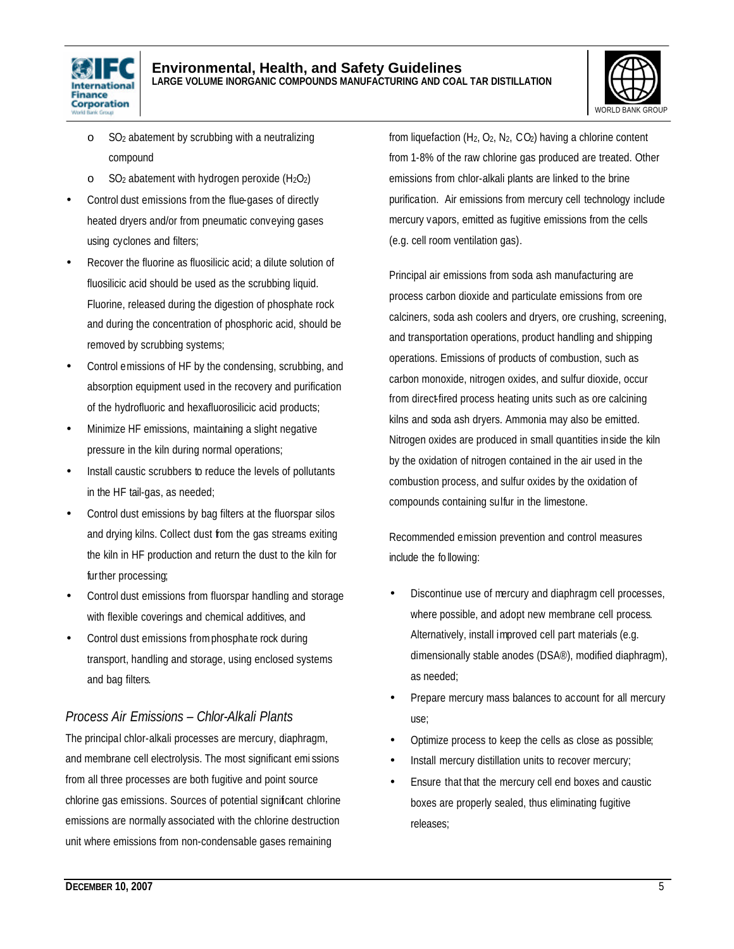



- o SO2 abatement by scrubbing with a neutralizing compound
- $\circ$  SO<sub>2</sub> abatement with hydrogen peroxide (H<sub>2</sub>O<sub>2</sub>)
- Control dust emissions from the flue-gases of directly heated dryers and/or from pneumatic conveying gases using cyclones and filters;
- Recover the fluorine as fluosilicic acid; a dilute solution of fluosilicic acid should be used as the scrubbing liquid. Fluorine, released during the digestion of phosphate rock and during the concentration of phosphoric acid, should be removed by scrubbing systems;
- Control emissions of HF by the condensing, scrubbing, and absorption equipment used in the recovery and purification of the hydrofluoric and hexafluorosilicic acid products;
- Minimize HF emissions, maintaining a slight negative pressure in the kiln during normal operations;
- Install caustic scrubbers to reduce the levels of pollutants in the HF tail-gas, as needed;
- Control dust emissions by bag filters at the fluorspar silos and drying kilns. Collect dust from the gas streams exiting the kiln in HF production and return the dust to the kiln for further processing;
- Control dust emissions from fluorspar handling and storage with flexible coverings and chemical additives, and
- Control dust emissions from phosphate rock during transport, handling and storage, using enclosed systems and bag filters.

#### *Process Air Emissions – Chlor-Alkali Plants*

The principal chlor-alkali processes are mercury, diaphragm, and membrane cell electrolysis. The most significant emi ssions from all three processes are both fugitive and point source chlorine gas emissions. Sources of potential significant chlorine emissions are normally associated with the chlorine destruction unit where emissions from non-condensable gases remaining

from liquefaction  $(H_2, O_2, N_2, CO_2)$  having a chlorine content from 1-8% of the raw chlorine gas produced are treated. Other emissions from chlor-alkali plants are linked to the brine purification. Air emissions from mercury cell technology include mercury vapors, emitted as fugitive emissions from the cells (e.g. cell room ventilation gas).

Principal air emissions from soda ash manufacturing are process carbon dioxide and particulate emissions from ore calciners, soda ash coolers and dryers, ore crushing, screening, and transportation operations, product handling and shipping operations. Emissions of products of combustion, such as carbon monoxide, nitrogen oxides, and sulfur dioxide, occur from direct-fired process heating units such as ore calcining kilns and soda ash dryers. Ammonia may also be emitted. Nitrogen oxides are produced in small quantities inside the kiln by the oxidation of nitrogen contained in the air used in the combustion process, and sulfur oxides by the oxidation of compounds containing sulfur in the limestone.

Recommended emission prevention and control measures include the fo llowing:

- Discontinue use of mercury and diaphragm cell processes, where possible, and adopt new membrane cell process. Alternatively, install improved cell part materials (e.g. dimensionally stable anodes (DSA®), modified diaphragm), as needed;
- Prepare mercury mass balances to account for all mercury use;
- Optimize process to keep the cells as close as possible;
- Install mercury distillation units to recover mercury;
- Ensure that that the mercury cell end boxes and caustic boxes are properly sealed, thus eliminating fugitive releases;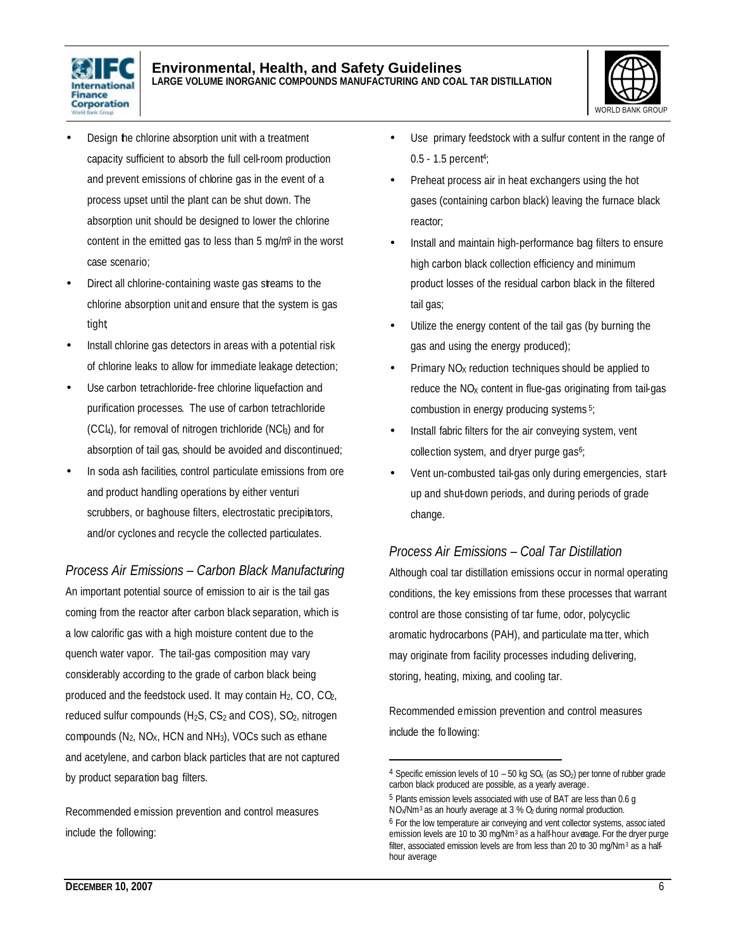



- Design the chlorine absorption unit with a treatment capacity sufficient to absorb the full cell-room production and prevent emissions of chlorine gas in the event of a process upset until the plant can be shut down. The absorption unit should be designed to lower the chlorine content in the emitted gas to less than 5 mg/m3 in the worst case scenario;
- Direct all chlorine-containing waste gas streams to the chlorine absorption unit and ensure that the system is gas tight;
- Install chlorine gas detectors in areas with a potential risk of chlorine leaks to allow for immediate leakage detection;
- Use carbon tetrachloride-free chlorine liquefaction and purification processes. The use of carbon tetrachloride (CCl4), for removal of nitrogen trichloride (NCl3) and for absorption of tail gas, should be avoided and discontinued;
- In soda ash facilities, control particulate emissions from ore and product handling operations by either venturi scrubbers, or baghouse filters, electrostatic precipitators, and/or cyclones and recycle the collected particulates.

#### *Process Air Emissions – Carbon Black Manufacturing*

An important potential source of emission to air is the tail gas coming from the reactor after carbon black separation, which is a low calorific gas with a high moisture content due to the quench water vapor. The tail-gas composition may vary considerably according to the grade of carbon black being produced and the feedstock used. It may contain  $H_2$ , CO, CO<sub>2</sub>, reduced sulfur compounds  $(H<sub>2</sub>S, CS<sub>2</sub>$  and COS), SO<sub>2</sub>, nitrogen compounds  $(N_2, NO_X, HCN and NH<sub>3</sub>)$ , VOCs such as ethane and acetylene, and carbon black particles that are not captured by product separation bag filters.

Recommended emission prevention and control measures include the following:

- Use primary feedstock with a sulfur content in the range of 0.5 - 1.5 percent4;
- Preheat process air in heat exchangers using the hot gases (containing carbon black) leaving the furnace black reactor;
- Install and maintain high-performance bag filters to ensure high carbon black collection efficiency and minimum product losses of the residual carbon black in the filtered tail gas;
- Utilize the energy content of the tail gas (by burning the gas and using the energy produced);
- Primary NO<sub>x</sub> reduction techniques should be applied to reduce the NO<sub>x</sub> content in flue-gas originating from tail-gas combustion in energy producing systems <sup>5</sup>;
- Install fabric filters for the air conveying system, vent collection system, and dryer purge gas<sup>6</sup>;
- Vent un-combusted tail-gas only during emergencies, startup and shut-down periods, and during periods of grade change.

#### *Process Air Emissions – Coal Tar Distillation*

Although coal tar distillation emissions occur in normal operating conditions, the key emissions from these processes that warrant control are those consisting of tar fume, odor, polycyclic aromatic hydrocarbons (PAH), and particulate ma tter, which may originate from facility processes including delivering, storing, heating, mixing, and cooling tar.

Recommended emission prevention and control measures include the fo llowing:

<sup>&</sup>lt;sup>4</sup> Specific emission levels of 10 – 50 kg  $SO<sub>x</sub>$  (as  $SO<sub>2</sub>$ ) per tonne of rubber grade carbon black produced are possible, as a yearly average.

<sup>5</sup> Plants emission levels associated with use of BAT are less than 0.6 g  $NOx/Nm<sup>3</sup>$  as an hourly average at 3 %  $O_2$  during normal production.

<sup>6</sup> For the low temperature air conveying and vent collector systems, assoc iated emission levels are 10 to 30 mg/Nm<sup>3</sup> as a half-hour average. For the dryer purge filter, associated emission levels are from less than 20 to 30 mg/Nm<sup>3</sup> as a halfhour average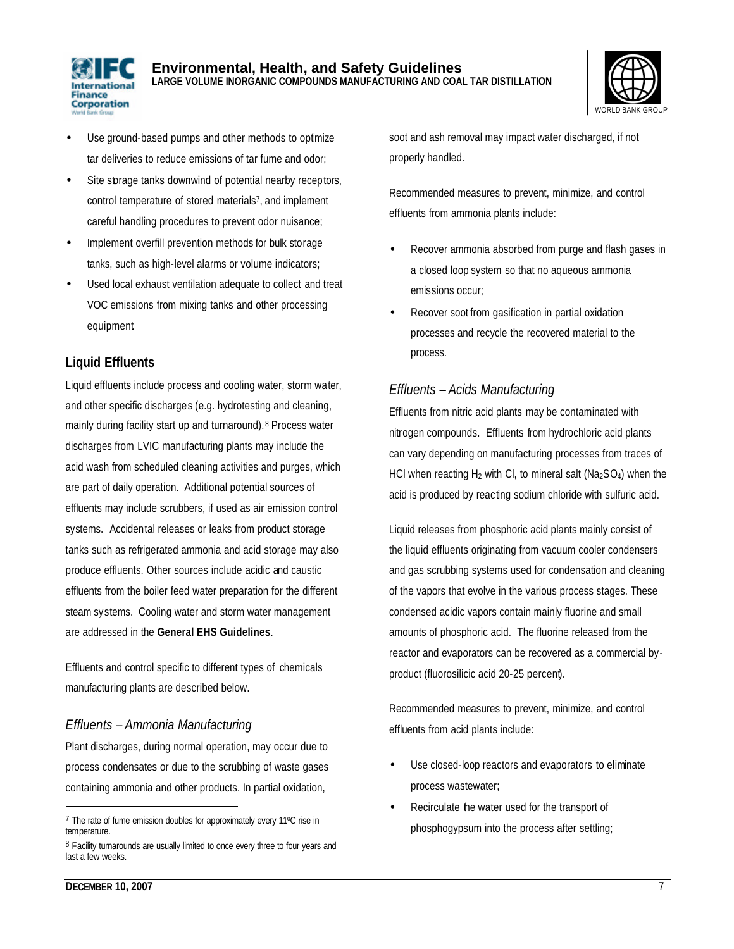



- Use ground-based pumps and other methods to opimize tar deliveries to reduce emissions of tar fume and odor;
- Site storage tanks downwind of potential nearby receptors, control temperature of stored materials<sup>7</sup>, and implement careful handling procedures to prevent odor nuisance;
- Implement overfill prevention methods for bulk storage tanks, such as high-level alarms or volume indicators;
- Used local exhaust ventilation adequate to collect and treat VOC emissions from mixing tanks and other processing equipment.

#### **Liquid Effluents**

Liquid effluents include process and cooling water, storm water, and other specific discharges (e.g. hydrotesting and cleaning, mainly during facility start up and turnaround). <sup>8</sup> Process water discharges from LVIC manufacturing plants may include the acid wash from scheduled cleaning activities and purges, which are part of daily operation. Additional potential sources of effluents may include scrubbers, if used as air emission control systems. Accidental releases or leaks from product storage tanks such as refrigerated ammonia and acid storage may also produce effluents. Other sources include acidic and caustic effluents from the boiler feed water preparation for the different steam systems. Cooling water and storm water management are addressed in the **General EHS Guidelines**.

Effluents and control specific to different types of chemicals manufacturing plants are described below.

#### *Effluents – Ammonia Manufacturing*

Plant discharges, during normal operation, may occur due to process condensates or due to the scrubbing of waste gases containing ammonia and other products. In partial oxidation,

soot and ash removal may impact water discharged, if not properly handled.

Recommended measures to prevent, minimize, and control effluents from ammonia plants include:

- Recover ammonia absorbed from purge and flash gases in a closed loop system so that no aqueous ammonia emissions occur;
- Recover soot from gasification in partial oxidation processes and recycle the recovered material to the process.

#### *Effluents – Acids Manufacturing*

Effluents from nitric acid plants may be contaminated with nitrogen compounds. Effluents from hydrochloric acid plants can vary depending on manufacturing processes from traces of HCl when reacting H<sub>2</sub> with Cl, to mineral salt ( $Na<sub>2</sub>SO<sub>4</sub>$ ) when the acid is produced by reacting sodium chloride with sulfuric acid.

Liquid releases from phosphoric acid plants mainly consist of the liquid effluents originating from vacuum cooler condensers and gas scrubbing systems used for condensation and cleaning of the vapors that evolve in the various process stages. These condensed acidic vapors contain mainly fluorine and small amounts of phosphoric acid. The fluorine released from the reactor and evaporators can be recovered as a commercial byproduct (fluorosilicic acid 20-25 percent).

Recommended measures to prevent, minimize, and control effluents from acid plants include:

- Use closed-loop reactors and evaporators to eliminate process wastewater;
- Recirculate the water used for the transport of phosphogypsum into the process after settling;

<sup>7</sup> The rate of fume emission doubles for approximately every 11ºC rise in temperature.

<sup>8</sup> Facility turnarounds are usually limited to once every three to four years and last a few weeks.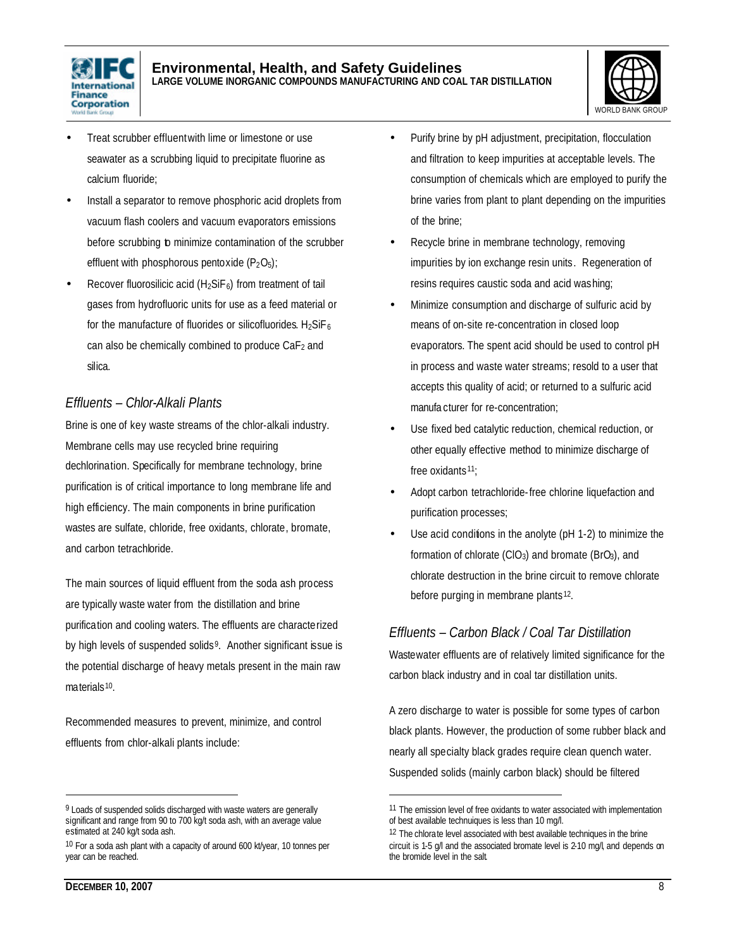



- Treat scrubber effluent with lime or limestone or use seawater as a scrubbing liquid to precipitate fluorine as calcium fluoride;
- Install a separator to remove phosphoric acid droplets from vacuum flash coolers and vacuum evaporators emissions before scrubbing to minimize contamination of the scrubber effluent with phosphorous pentoxide  $(P_2O_5)$ ;
- Recover fluorosilicic acid (H<sub>2</sub>SiF<sub>6</sub>) from treatment of tail gases from hydrofluoric units for use as a feed material or for the manufacture of fluorides or silicofluorides. H<sub>2</sub>SiF<sub>6</sub> can also be chemically combined to produce  $CaF<sub>2</sub>$  and silica.

#### *Effluents – Chlor-Alkali Plants*

Brine is one of key waste streams of the chlor-alkali industry. Membrane cells may use recycled brine requiring dechlorination. Specifically for membrane technology, brine purification is of critical importance to long membrane life and high efficiency. The main components in brine purification wastes are sulfate, chloride, free oxidants, chlorate, bromate, and carbon tetrachloride.

The main sources of liquid effluent from the soda ash process are typically waste water from the distillation and brine purification and cooling waters. The effluents are characterized by high levels of suspended solids<sup>9</sup>. Another significant issue is the potential discharge of heavy metals present in the main raw materials<sup>10</sup>.

Recommended measures to prevent, minimize, and control effluents from chlor-alkali plants include:

- Purify brine by pH adjustment, precipitation, flocculation and filtration to keep impurities at acceptable levels. The consumption of chemicals which are employed to purify the brine varies from plant to plant depending on the impurities of the brine;
- Recycle brine in membrane technology, removing impurities by ion exchange resin units. Regeneration of resins requires caustic soda and acid washing;
- Minimize consumption and discharge of sulfuric acid by means of on-site re-concentration in closed loop evaporators. The spent acid should be used to control pH in process and waste water streams; resold to a user that accepts this quality of acid; or returned to a sulfuric acid manufa cturer for re-concentration;
- Use fixed bed catalytic reduction, chemical reduction, or other equally effective method to minimize discharge of free oxidants <sup>11</sup>;
- Adopt carbon tetrachloride-free chlorine liquefaction and purification processes;
- Use acid conditions in the anolyte (pH 1-2) to minimize the formation of chlorate (ClO<sub>3</sub>) and bromate (BrO<sub>3</sub>), and chlorate destruction in the brine circuit to remove chlorate before purging in membrane plants <sup>12</sup>.

#### *Effluents – Carbon Black / Coal Tar Distillation*

Wastewater effluents are of relatively limited significance for the carbon black industry and in coal tar distillation units.

A zero discharge to water is possible for some types of carbon black plants. However, the production of some rubber black and nearly all specialty black grades require clean quench water. Suspended solids (mainly carbon black) should be filtered

 $\overline{a}$ 

<sup>&</sup>lt;sup>9</sup> Loads of suspended solids discharged with waste waters are generally significant and range from 90 to 700 kg/t soda ash, with an average value estimated at 240 kg/t soda ash.

<sup>10</sup> For a soda ash plant with a capacity of around 600 kt/year, 10 tonnes per year can be reached.

<sup>&</sup>lt;sup>11</sup> The emission level of free oxidants to water associated with implementation of best available technuiques is less than 10 mg/l.

<sup>&</sup>lt;sup>12</sup> The chlorate level associated with best available techniques in the brine circuit is 1-5 g/l and the associated bromate level is 2-10 mg/l, and depends on the bromide level in the salt.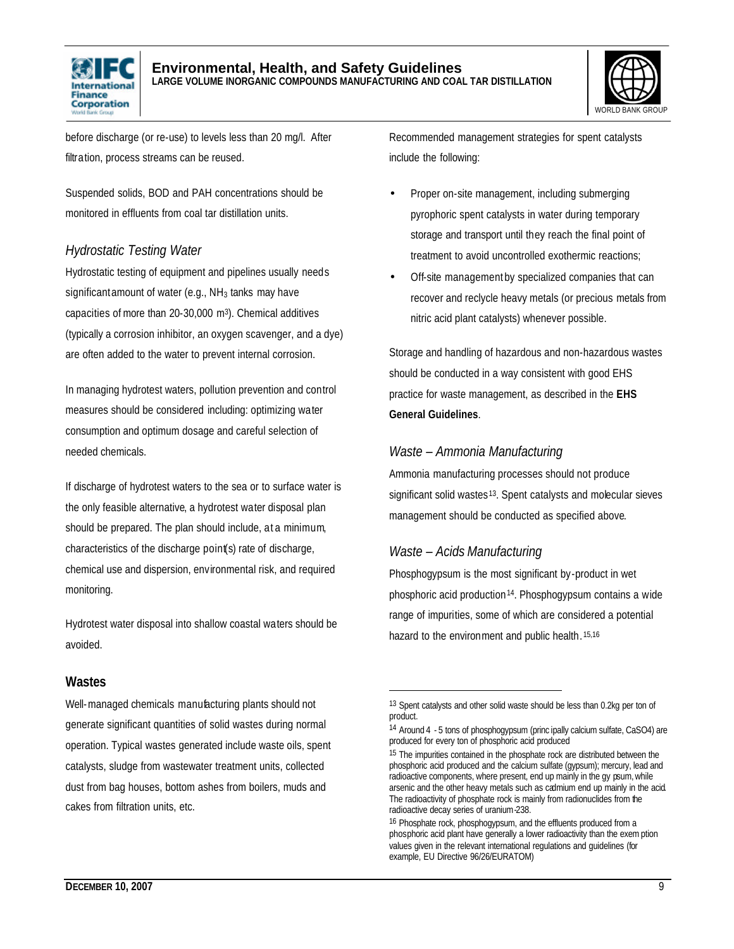



before discharge (or re-use) to levels less than 20 mg/l. After filtration, process streams can be reused.

Suspended solids, BOD and PAH concentrations should be monitored in effluents from coal tar distillation units.

#### *Hydrostatic Testing Water*

Hydrostatic testing of equipment and pipelines usually needs significant amount of water (e.g.,  $NH<sub>3</sub>$  tanks may have capacities of more than 20-30,000 m3). Chemical additives (typically a corrosion inhibitor, an oxygen scavenger, and a dye) are often added to the water to prevent internal corrosion.

In managing hydrotest waters, pollution prevention and control measures should be considered including: optimizing water consumption and optimum dosage and careful selection of needed chemicals.

If discharge of hydrotest waters to the sea or to surface water is the only feasible alternative, a hydrotest water disposal plan should be prepared. The plan should include, at a minimum, characteristics of the discharge point(s) rate of discharge, chemical use and dispersion, environmental risk, and required monitoring.

Hydrotest water disposal into shallow coastal waters should be avoided.

#### **Wastes**

Well-managed chemicals manufacturing plants should not generate significant quantities of solid wastes during normal operation. Typical wastes generated include waste oils, spent catalysts, sludge from wastewater treatment units, collected dust from bag houses, bottom ashes from boilers, muds and cakes from filtration units, etc.

Recommended management strategies for spent catalysts include the following:

- Proper on-site management, including submerging pyrophoric spent catalysts in water during temporary storage and transport until they reach the final point of treatment to avoid uncontrolled exothermic reactions;
- Off-site management by specialized companies that can recover and reclycle heavy metals (or precious metals from nitric acid plant catalysts) whenever possible.

Storage and handling of hazardous and non-hazardous wastes should be conducted in a way consistent with good EHS practice for waste management, as described in the **EHS General Guidelines**.

#### *Waste – Ammonia Manufacturing*

Ammonia manufacturing processes should not produce significant solid wastes <sup>13</sup>. Spent catalysts and molecular sieves management should be conducted as specified above.

#### *Waste – Acids Manufacturing*

 $\overline{a}$ 

Phosphogypsum is the most significant by-product in wet phosphoric acid production<sup>14</sup>. Phosphogypsum contains a wide range of impurities, some of which are considered a potential hazard to the environment and public health.<sup>15,16</sup>

<sup>13</sup> Spent catalysts and other solid waste should be less than 0.2kg per ton of product.

<sup>14</sup> Around 4 - 5 tons of phosphogypsum (princ ipally calcium sulfate, CaSO4) are produced for every ton of phosphoric acid produced

<sup>&</sup>lt;sup>15</sup> The impurities contained in the phosphate rock are distributed between the phosphoric acid produced and the calcium sulfate (gypsum); mercury, lead and radioactive components, where present, end up mainly in the gy psum, while arsenic and the other heavy metals such as cadmium end up mainly in the acid. The radioactivity of phosphate rock is mainly from radionuclides from the radioactive decay series of uranium-238.

<sup>16</sup> Phosphate rock, phosphogypsum, and the effluents produced from a phosphoric acid plant have generally a lower radioactivity than the exemption values given in the relevant international regulations and guidelines (for example, EU Directive 96/26/EURATOM)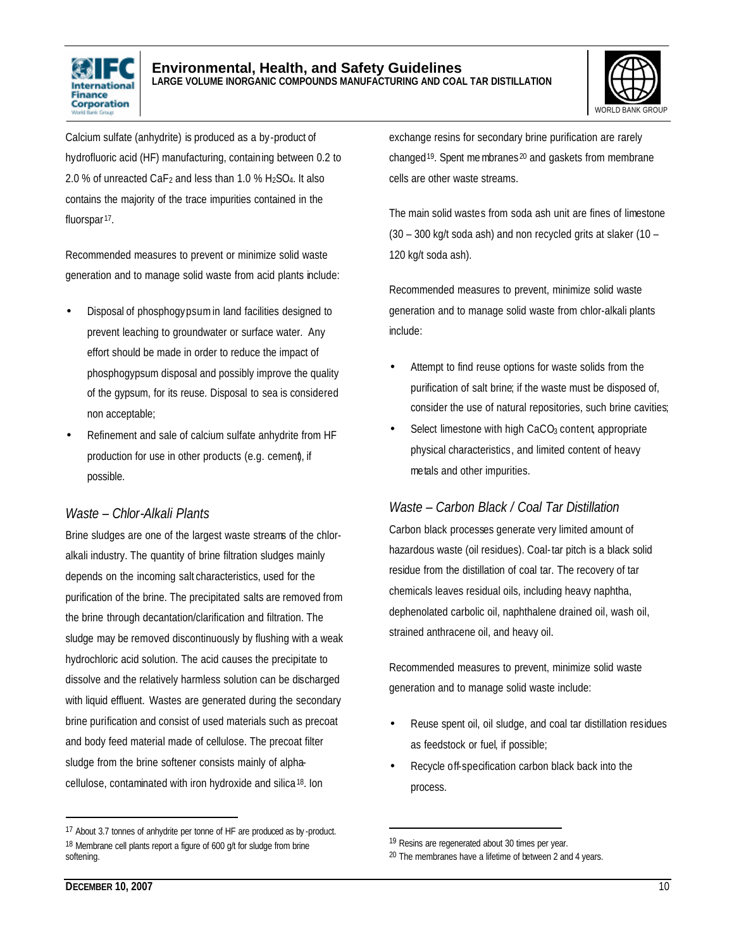



Calcium sulfate (anhydrite) is produced as a by-product of hydrofluoric acid (HF) manufacturing, containing between 0.2 to 2.0 % of unreacted  $CaF<sub>2</sub>$  and less than 1.0 %  $H<sub>2</sub>SO<sub>4</sub>$ . It also contains the majority of the trace impurities contained in the fluorspar<sup>17</sup>.

Recommended measures to prevent or minimize solid waste generation and to manage solid waste from acid plants include:

- Disposal of phosphogypsum in land facilities designed to prevent leaching to groundwater or surface water. Any effort should be made in order to reduce the impact of phosphogypsum disposal and possibly improve the quality of the gypsum, for its reuse. Disposal to sea is considered non acceptable;
- Refinement and sale of calcium sulfate anhydrite from HF production for use in other products (e.g. cement), if possible.

#### *Waste – Chlor-Alkali Plants*

Brine sludges are one of the largest waste streams of the chloralkali industry. The quantity of brine filtration sludges mainly depends on the incoming salt characteristics, used for the purification of the brine. The precipitated salts are removed from the brine through decantation/clarification and filtration. The sludge may be removed discontinuously by flushing with a weak hydrochloric acid solution. The acid causes the precipitate to dissolve and the relatively harmless solution can be discharged with liquid effluent. Wastes are generated during the secondary brine purification and consist of used materials such as precoat and body feed material made of cellulose. The precoat filter sludge from the brine softener consists mainly of alphacellulose, contaminated with iron hydroxide and silica<sup>18</sup>. Ion

exchange resins for secondary brine purification are rarely changed19. Spent membranes <sup>20</sup> and gaskets from membrane cells are other waste streams.

The main solid wastes from soda ash unit are fines of limestone (30 – 300 kg/t soda ash) and non recycled grits at slaker (10 – 120 kg/t soda ash).

Recommended measures to prevent, minimize solid waste generation and to manage solid waste from chlor-alkali plants include:

- Attempt to find reuse options for waste solids from the purification of salt brine; if the waste must be disposed of, consider the use of natural repositories, such brine cavities;
- Select limestone with high  $CaCO<sub>3</sub>$  content, appropriate physical characteristics, and limited content of heavy metals and other impurities.

#### *Waste – Carbon Black / Coal Tar Distillation*

Carbon black processes generate very limited amount of hazardous waste (oil residues). Coal-tar pitch is a black solid residue from the distillation of coal tar. The recovery of tar chemicals leaves residual oils, including heavy naphtha, dephenolated carbolic oil, naphthalene drained oil, wash oil, strained anthracene oil, and heavy oil.

Recommended measures to prevent, minimize solid waste generation and to manage solid waste include:

- Reuse spent oil, oil sludge, and coal tar distillation residues as feedstock or fuel, if possible;
- Recycle off-specification carbon black back into the process.

 $\overline{a}$ 

<sup>17</sup> About 3.7 tonnes of anhydrite per tonne of HF are produced as by -product. 18 Membrane cell plants report a figure of 600 g/t for sludge from brine softening.

<sup>&</sup>lt;sup>19</sup> Resins are regenerated about 30 times per year.

<sup>20</sup> The membranes have a lifetime of between 2 and 4 years.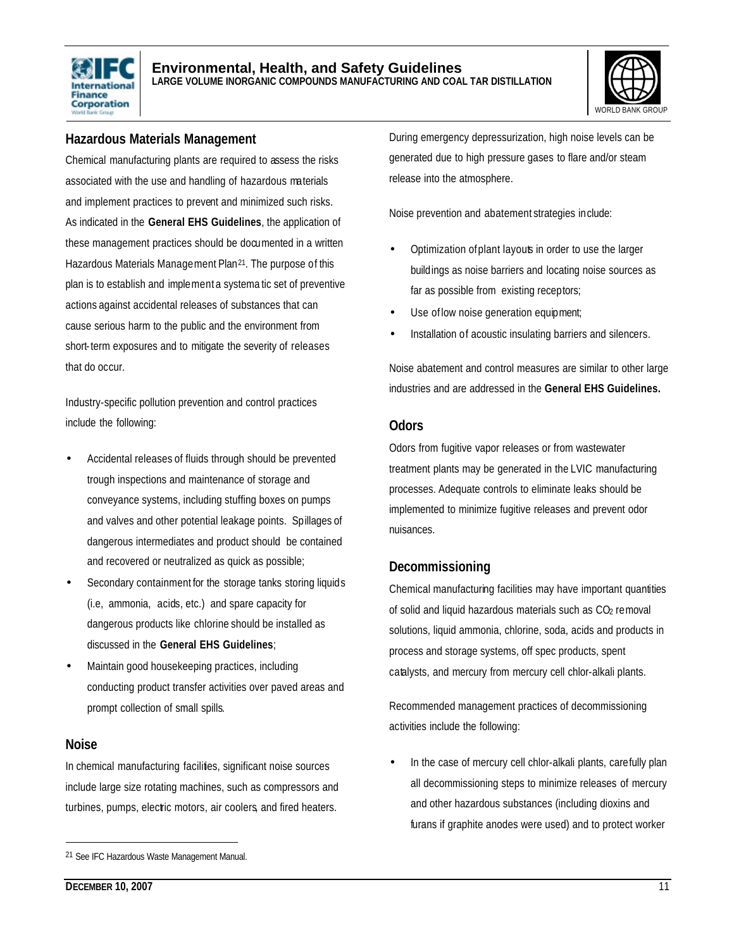



#### **Hazardous Materials Management**

Chemical manufacturing plants are required to assess the risks associated with the use and handling of hazardous materials and implement practices to prevent and minimized such risks. As indicated in the **General EHS Guidelines**, the application of these management practices should be documented in a written Hazardous Materials Management Plan21. The purpose of this plan is to establish and implement a systema tic set of preventive actions against accidental releases of substances that can cause serious harm to the public and the environment from short-term exposures and to mitigate the severity of releases that do occur.

Industry-specific pollution prevention and control practices include the following:

- Accidental releases of fluids through should be prevented trough inspections and maintenance of storage and conveyance systems, including stuffing boxes on pumps and valves and other potential leakage points. Spillages of dangerous intermediates and product should be contained and recovered or neutralized as quick as possible;
- Secondary containment for the storage tanks storing liquids (i.e, ammonia, acids, etc.) and spare capacity for dangerous products like chlorine should be installed as discussed in the **General EHS Guidelines**;
- Maintain good housekeeping practices, including conducting product transfer activities over paved areas and prompt collection of small spills.

#### **Noise**

 $\overline{a}$ 

In chemical manufacturing facilities, significant noise sources include large size rotating machines, such as compressors and turbines, pumps, electic motors, air coolers, and fired heaters.

During emergency depressurization, high noise levels can be generated due to high pressure gases to flare and/or steam release into the atmosphere.

Noise prevention and abatement strategies include:

- Optimization of plant layouts in order to use the larger buildings as noise barriers and locating noise sources as far as possible from existing receptors;
- Use of low noise generation equipment;
- Installation of acoustic insulating barriers and silencers.

Noise abatement and control measures are similar to other large industries and are addressed in the **General EHS Guidelines.**

#### **Odors**

Odors from fugitive vapor releases or from wastewater treatment plants may be generated in the LVIC manufacturing processes. Adequate controls to eliminate leaks should be implemented to minimize fugitive releases and prevent odor nuisances.

#### **Decommissioning**

Chemical manufacturing facilities may have important quantities of solid and liquid hazardous materials such as  $CO<sub>2</sub>$  removal solutions, liquid ammonia, chlorine, soda, acids and products in process and storage systems, off spec products, spent catalysts, and mercury from mercury cell chlor-alkali plants.

Recommended management practices of decommissioning activities include the following:

• In the case of mercury cell chlor-alkali plants, carefully plan all decommissioning steps to minimize releases of mercury and other hazardous substances (including dioxins and furans if graphite anodes were used) and to protect worker

<sup>21</sup> See IFC Hazardous Waste Management Manual.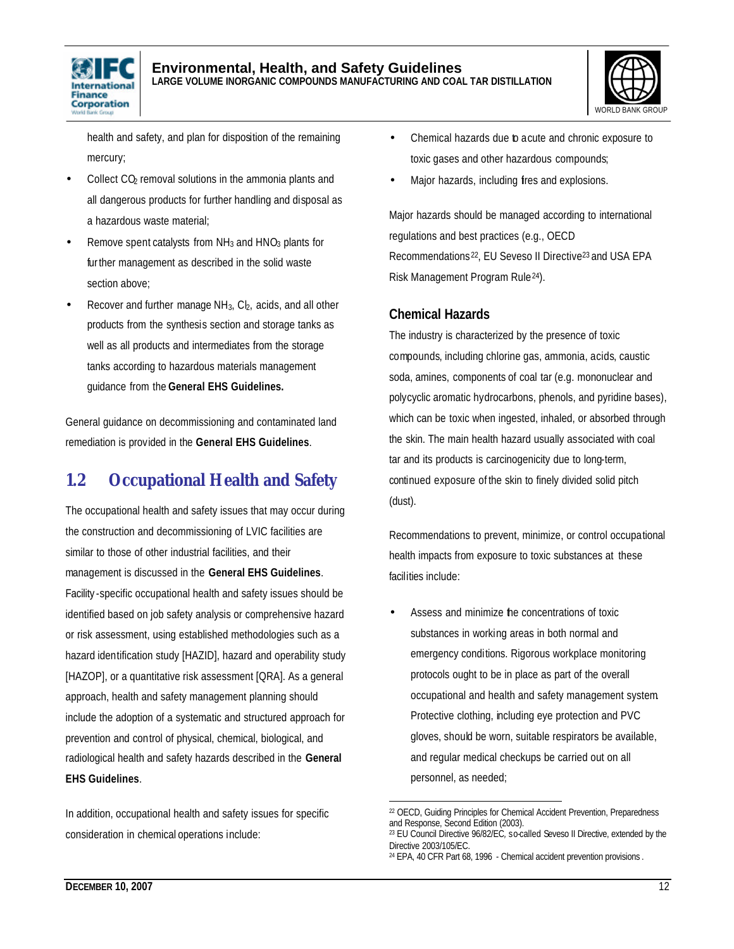



health and safety, and plan for disposition of the remaining mercury;

- Collect CO<sub>2</sub> removal solutions in the ammonia plants and all dangerous products for further handling and disposal as a hazardous waste material;
- Remove spent catalysts from NH<sub>3</sub> and HNO<sub>3</sub> plants for further management as described in the solid waste section above;
- Recover and further manage NH<sub>3</sub>, Cl<sub>2</sub>, acids, and all other products from the synthesis section and storage tanks as well as all products and intermediates from the storage tanks according to hazardous materials management guidance from the **General EHS Guidelines.**

General guidance on decommissioning and contaminated land remediation is provided in the **General EHS Guidelines**.

### **1.2 Occupational Health and Safety**

The occupational health and safety issues that may occur during the construction and decommissioning of LVIC facilities are similar to those of other industrial facilities, and their management is discussed in the **General EHS Guidelines**. Facility -specific occupational health and safety issues should be identified based on job safety analysis or comprehensive hazard or risk assessment, using established methodologies such as a hazard identification study [HAZID], hazard and operability study [HAZOP], or a quantitative risk assessment [QRA]. As a general approach, health and safety management planning should include the adoption of a systematic and structured approach for prevention and control of physical, chemical, biological, and radiological health and safety hazards described in the **General EHS Guidelines**.

In addition, occupational health and safety issues for specific consideration in chemical operations include:

- Chemical hazards due to acute and chronic exposure to toxic gases and other hazardous compounds;
- Major hazards, including fires and explosions.

Major hazards should be managed according to international regulations and best practices (e.g., OECD Recommendations <sup>22</sup>, EU Seveso II Directive<sup>23</sup> and USA EPA Risk Management Program Rule24).

#### **Chemical Hazards**

The industry is characterized by the presence of toxic compounds, including chlorine gas, ammonia, acids, caustic soda, amines, components of coal tar (e.g. mononuclear and polycyclic aromatic hydrocarbons, phenols, and pyridine bases), which can be toxic when ingested, inhaled, or absorbed through the skin. The main health hazard usually associated with coal tar and its products is carcinogenicity due to long-term, continued exposure of the skin to finely divided solid pitch (dust).

Recommendations to prevent, minimize, or control occupational health impacts from exposure to toxic substances at these facilities include:

Assess and minimize the concentrations of toxic substances in working areas in both normal and emergency conditions. Rigorous workplace monitoring protocols ought to be in place as part of the overall occupational and health and safety management system. Protective clothing, including eye protection and PVC gloves, should be worn, suitable respirators be available, and regular medical checkups be carried out on all personnel, as needed;

 $\overline{a}$ <sup>22</sup> OECD, Guiding Principles for Chemical Accident Prevention, Preparedness and Response, Second Edition (2003).

<sup>23</sup> EU Council Directive 96/82/EC*,* so-called Seveso II Directive, extended by the Directive 2003/105/EC.

<sup>24</sup> EPA, 40 CFR Part 68, 1996 - Chemical accident prevention provisions .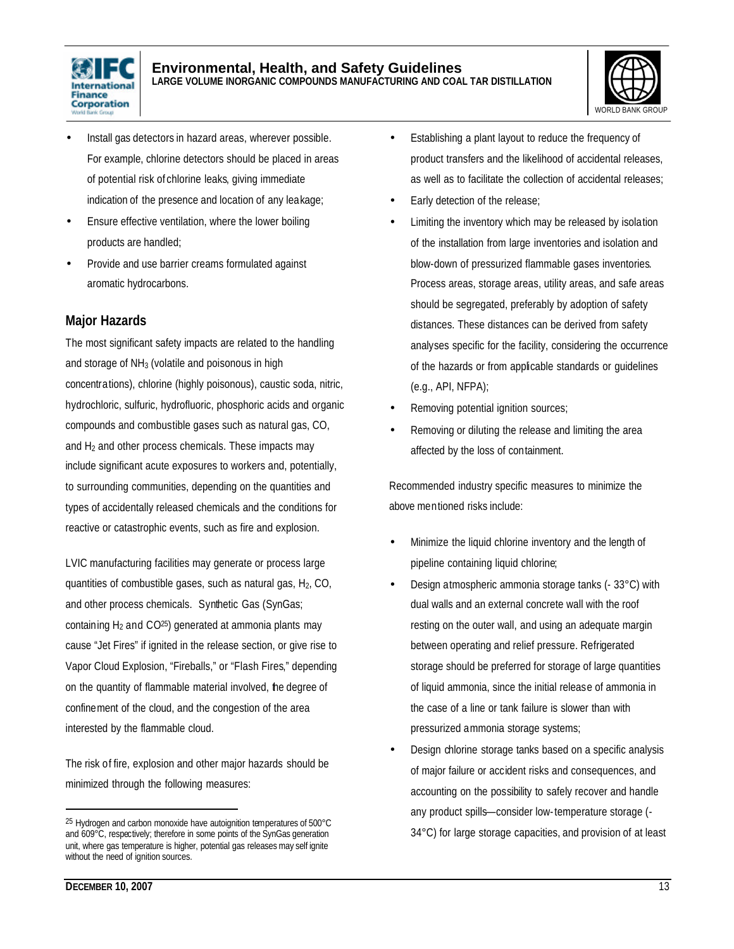



- Install gas detectors in hazard areas, wherever possible. For example, chlorine detectors should be placed in areas of potential risk of chlorine leaks, giving immediate indication of the presence and location of any leakage;
- Ensure effective ventilation, where the lower boiling products are handled;
- Provide and use barrier creams formulated against aromatic hydrocarbons.

#### **Major Hazards**

The most significant safety impacts are related to the handling and storage of NH3 (volatile and poisonous in high concentrations), chlorine (highly poisonous), caustic soda, nitric, hydrochloric, sulfuric, hydrofluoric, phosphoric acids and organic compounds and combustible gases such as natural gas, CO, and  $H_2$  and other process chemicals. These impacts may include significant acute exposures to workers and, potentially, to surrounding communities, depending on the quantities and types of accidentally released chemicals and the conditions for reactive or catastrophic events, such as fire and explosion.

LVIC manufacturing facilities may generate or process large quantities of combustible gases, such as natural gas, H<sub>2</sub>, CO, and other process chemicals. Synthetic Gas (SynGas; containing  $H_2$  and CO<sup>25</sup>) generated at ammonia plants may cause "Jet Fires" if ignited in the release section, or give rise to Vapor Cloud Explosion, "Fireballs," or "Flash Fires," depending on the quantity of flammable material involved, the degree of confinement of the cloud, and the congestion of the area interested by the flammable cloud.

The risk of fire, explosion and other major hazards should be minimized through the following measures:

- Establishing a plant layout to reduce the frequency of product transfers and the likelihood of accidental releases, as well as to facilitate the collection of accidental releases;
- Early detection of the release;
- Limiting the inventory which may be released by isolation of the installation from large inventories and isolation and blow-down of pressurized flammable gases inventories. Process areas, storage areas, utility areas, and safe areas should be segregated, preferably by adoption of safety distances. These distances can be derived from safety analyses specific for the facility, considering the occurrence of the hazards or from applicable standards or guidelines (e.g., API, NFPA);
- Removing potential ignition sources;
- Removing or diluting the release and limiting the area affected by the loss of containment.

Recommended industry specific measures to minimize the above mentioned risks include:

- Minimize the liquid chlorine inventory and the length of pipeline containing liquid chlorine;
- Design atmospheric ammonia storage tanks (- 33°C) with dual walls and an external concrete wall with the roof resting on the outer wall, and using an adequate margin between operating and relief pressure. Refrigerated storage should be preferred for storage of large quantities of liquid ammonia, since the initial release of ammonia in the case of a line or tank failure is slower than with pressurized ammonia storage systems;
- Design chlorine storage tanks based on a specific analysis of major failure or accident risks and consequences, and accounting on the possibility to safely recover and handle any product spills—consider low-temperature storage (- 34°C) for large storage capacities, and provision of at least

<sup>25</sup> Hydrogen and carbon monoxide have autoignition temperatures of 500°C and 609°C, respectively; therefore in some points of the SynGas generation unit, where gas temperature is higher, potential gas releases may self ignite without the need of ignition sources.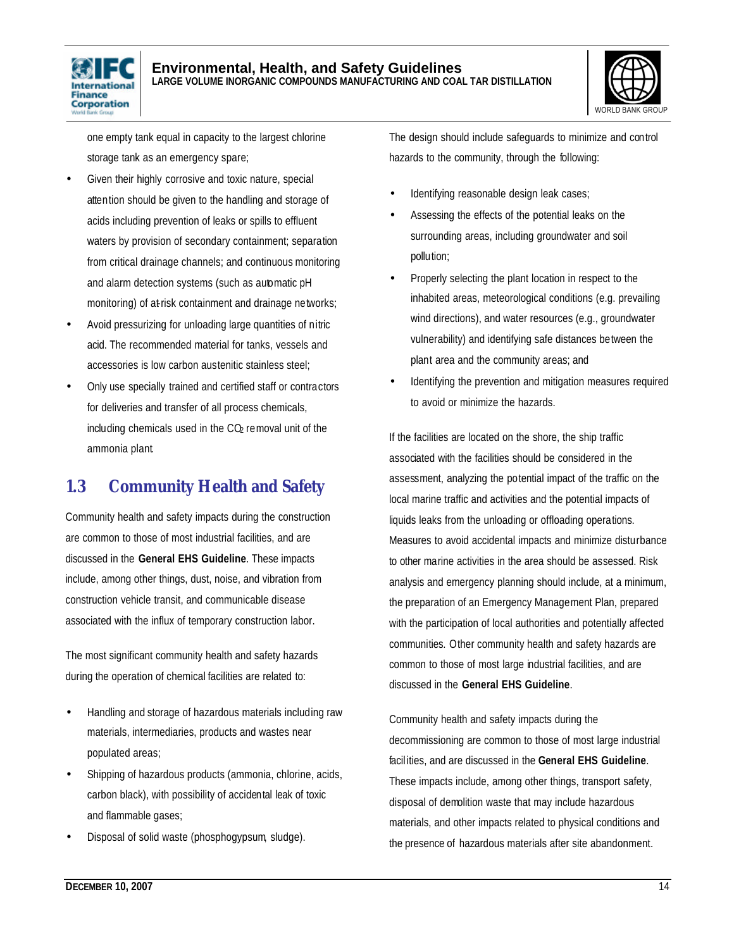



one empty tank equal in capacity to the largest chlorine storage tank as an emergency spare;

- Given their highly corrosive and toxic nature, special attention should be given to the handling and storage of acids including prevention of leaks or spills to effluent waters by provision of secondary containment; separation from critical drainage channels; and continuous monitoring and alarm detection systems (such as automatic pH monitoring) of at-risk containment and drainage networks;
- Avoid pressurizing for unloading large quantities of nitric acid. The recommended material for tanks, vessels and accessories is low carbon austenitic stainless steel;
- Only use specially trained and certified staff or contractors for deliveries and transfer of all process chemicals, including chemicals used in the  $CO<sub>2</sub>$  removal unit of the ammonia plant.

### **1.3 Community Health and Safety**

Community health and safety impacts during the construction are common to those of most industrial facilities, and are discussed in the **General EHS Guideline**. These impacts include, among other things, dust, noise, and vibration from construction vehicle transit, and communicable disease associated with the influx of temporary construction labor.

The most significant community health and safety hazards during the operation of chemical facilities are related to:

- Handling and storage of hazardous materials including raw materials, intermediaries, products and wastes near populated areas;
- Shipping of hazardous products (ammonia, chlorine, acids, carbon black), with possibility of accidental leak of toxic and flammable gases;
- Disposal of solid waste (phosphogypsum, sludge).

The design should include safeguards to minimize and control hazards to the community, through the following:

- Identifying reasonable design leak cases;
- Assessing the effects of the potential leaks on the surrounding areas, including groundwater and soil pollution;
- Properly selecting the plant location in respect to the inhabited areas, meteorological conditions (e.g. prevailing wind directions), and water resources (e.g., groundwater vulnerability) and identifying safe distances between the plant area and the community areas; and
- Identifying the prevention and mitigation measures required to avoid or minimize the hazards.

If the facilities are located on the shore, the ship traffic associated with the facilities should be considered in the assessment, analyzing the potential impact of the traffic on the local marine traffic and activities and the potential impacts of liquids leaks from the unloading or offloading operations. Measures to avoid accidental impacts and minimize disturbance to other marine activities in the area should be assessed. Risk analysis and emergency planning should include, at a minimum, the preparation of an Emergency Management Plan, prepared with the participation of local authorities and potentially affected communities. Other community health and safety hazards are common to those of most large industrial facilities, and are discussed in the **General EHS Guideline**.

Community health and safety impacts during the decommissioning are common to those of most large industrial facilities, and are discussed in the **General EHS Guideline**. These impacts include, among other things, transport safety, disposal of demolition waste that may include hazardous materials, and other impacts related to physical conditions and the presence of hazardous materials after site abandonment.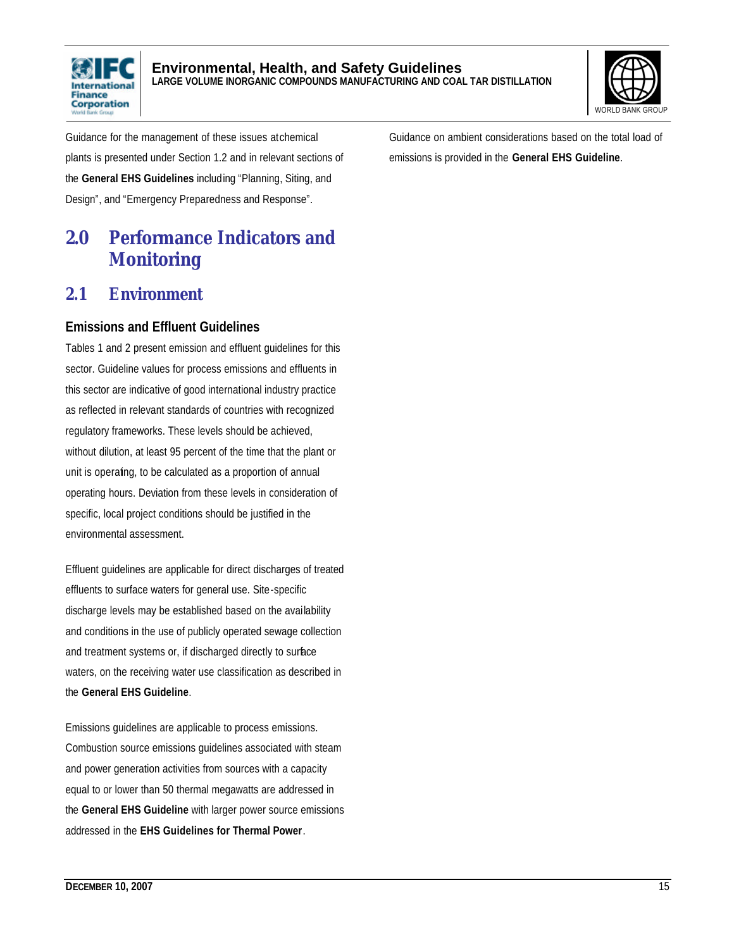



Guidance for the management of these issues at chemical plants is presented under Section 1.2 and in relevant sections of the **General EHS Guidelines** including "Planning, Siting, and Design", and "Emergency Preparedness and Response".

### **2.0 Performance Indicators and Monitoring**

### **2.1 Environment**

#### **Emissions and Effluent Guidelines**

Tables 1 and 2 present emission and effluent guidelines for this sector. Guideline values for process emissions and effluents in this sector are indicative of good international industry practice as reflected in relevant standards of countries with recognized regulatory frameworks. These levels should be achieved, without dilution, at least 95 percent of the time that the plant or unit is operating, to be calculated as a proportion of annual operating hours. Deviation from these levels in consideration of specific, local project conditions should be justified in the environmental assessment.

Effluent guidelines are applicable for direct discharges of treated effluents to surface waters for general use. Site-specific discharge levels may be established based on the availability and conditions in the use of publicly operated sewage collection and treatment systems or, if discharged directly to surface waters, on the receiving water use classification as described in the **General EHS Guideline**.

Emissions guidelines are applicable to process emissions. Combustion source emissions guidelines associated with steam and power generation activities from sources with a capacity equal to or lower than 50 thermal megawatts are addressed in the **General EHS Guideline** with larger power source emissions addressed in the **EHS Guidelines for Thermal Power**.

Guidance on ambient considerations based on the total load of emissions is provided in the **General EHS Guideline**.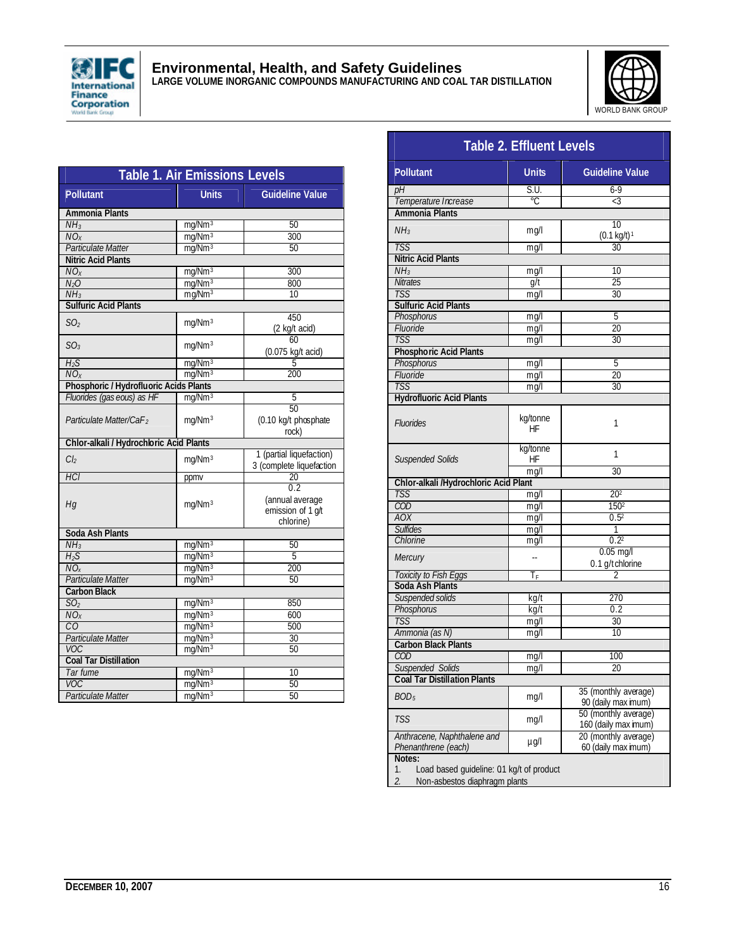



| <b>Table 1. Air Emissions Levels</b>    |                    |                                                          |  |  |  |
|-----------------------------------------|--------------------|----------------------------------------------------------|--|--|--|
| <b>Pollutant</b>                        | <b>Units</b>       | <b>Guideline Value</b>                                   |  |  |  |
| <b>Ammonia Plants</b>                   |                    |                                                          |  |  |  |
| NH <sub>3</sub>                         | mg/Nm <sup>3</sup> | 50                                                       |  |  |  |
| NO <sub>x</sub>                         | mg/Nm <sup>3</sup> | 300                                                      |  |  |  |
| Particulate Matter                      | mg/Nm <sup>3</sup> | 50                                                       |  |  |  |
| <b>Nitric Acid Plants</b>               |                    |                                                          |  |  |  |
| NO <sub>X</sub>                         | mg/Nm <sup>3</sup> | 300                                                      |  |  |  |
| N <sub>2</sub> O                        | mg/Nm <sup>3</sup> | 800                                                      |  |  |  |
| NH <sub>3</sub>                         | mg/Mm <sup>3</sup> | 10                                                       |  |  |  |
| <b>Sulfuric Acid Plants</b>             |                    |                                                          |  |  |  |
| SO <sub>2</sub>                         | mg/Nm <sup>3</sup> | 450<br>(2 kg/t acid)                                     |  |  |  |
| SO <sub>3</sub>                         | mg/Nm <sup>3</sup> | 60<br>(0.075 kg/t acid)                                  |  |  |  |
| $H_2S$                                  | mg/Nm <sup>3</sup> | 5                                                        |  |  |  |
| NO <sub>X</sub>                         | mg/Nm <sup>3</sup> | 200                                                      |  |  |  |
| Phosphoric / Hydrofluoric Acids Plants  |                    |                                                          |  |  |  |
| Fluorides (gas eous) as HF              | mg/Nm <sup>3</sup> | 5                                                        |  |  |  |
| Particulate Matter/CaF <sub>2</sub>     | mg/Nm <sup>3</sup> | 50<br>(0.10 kg/t phosphate<br>rock)                      |  |  |  |
| Chlor-alkali / Hydrochloric Acid Plants |                    |                                                          |  |  |  |
| Cl <sub>2</sub>                         | mg/Nm <sup>3</sup> | 1 (partial liquefaction)<br>3 (complete liquefaction     |  |  |  |
| <b>HCI</b>                              | ppmv               | 20                                                       |  |  |  |
| Hg                                      | mg/Nm <sup>3</sup> | 0.2<br>(annual average<br>emission of 1 g/t<br>chlorine) |  |  |  |
| Soda Ash Plants                         |                    |                                                          |  |  |  |
| NH <sub>3</sub>                         | mg/Nm <sup>3</sup> | 50                                                       |  |  |  |
| $H_2S$                                  | mg/Nm <sup>3</sup> | 5                                                        |  |  |  |
| NO <sub>x</sub>                         | mg/Nm <sup>3</sup> | $\overline{200}$                                         |  |  |  |
| Particulate Matter                      | mg/Nm <sup>3</sup> | 50                                                       |  |  |  |
| <b>Carbon Black</b>                     |                    |                                                          |  |  |  |
| SO <sub>2</sub>                         | mg/Nm <sup>3</sup> | 850                                                      |  |  |  |
| NO <sub>X</sub>                         | mg/Nm <sup>3</sup> | 600                                                      |  |  |  |
| CO                                      | mg/Nm <sup>3</sup> | 500                                                      |  |  |  |
| Particulate Matter                      | mg/Nm <sup>3</sup> | 30                                                       |  |  |  |
| <b>VOC</b>                              | mq/Nm <sup>3</sup> | 50                                                       |  |  |  |
| <b>Coal Tar Distillation</b>            |                    |                                                          |  |  |  |
| Tar fume                                | mg/Nm <sup>3</sup> | 10                                                       |  |  |  |
| <b>VOC</b>                              | mq/Nm <sup>3</sup> | 50                                                       |  |  |  |
| Particulate Matter                      | mq/Nm <sup>3</sup> | 50                                                       |  |  |  |

| Table 2. Effluent Levels                                                                        |                |                                              |  |  |
|-------------------------------------------------------------------------------------------------|----------------|----------------------------------------------|--|--|
| <b>Pollutant</b>                                                                                | <b>Units</b>   | <b>Guideline Value</b>                       |  |  |
| рH                                                                                              | S.U.           | 6-9                                          |  |  |
| Temperature Increase                                                                            | $\sqrt{\cdot}$ | <3                                           |  |  |
| <b>Ammonia Plants</b>                                                                           |                |                                              |  |  |
| NH <sub>3</sub>                                                                                 | mg/l           | 10<br>$(0.1 \text{ kg/t})$ <sup>1</sup>      |  |  |
| <b>TSS</b>                                                                                      | mg/l           | 30                                           |  |  |
| <b>Nitric Acid Plants</b>                                                                       |                |                                              |  |  |
| NH <sub>3</sub>                                                                                 | mq/l           | 10                                           |  |  |
| <b>Nitrates</b>                                                                                 | g/t            | 25                                           |  |  |
| <b>TSS</b>                                                                                      | mq/1           | 30                                           |  |  |
| <b>Sulfuric Acid Plants</b>                                                                     |                |                                              |  |  |
| Phosphorus                                                                                      | mq/l           | 5                                            |  |  |
| Fluoride                                                                                        | mq/l           | 20                                           |  |  |
| <b>TSS</b>                                                                                      | mg/l           | 30                                           |  |  |
| <b>Phosphoric Acid Plants</b>                                                                   |                |                                              |  |  |
| Phosphorus                                                                                      | mg/l           | 5                                            |  |  |
| Fluoride                                                                                        | mg/l           | 20                                           |  |  |
| <b>TSS</b>                                                                                      | mq/l           | 30                                           |  |  |
| <b>Hydrofluoric Acid Plants</b>                                                                 |                |                                              |  |  |
| <b>Fluorides</b>                                                                                | kg/tonne<br>HF | 1                                            |  |  |
| <b>Suspended Solids</b>                                                                         | kg/tonne<br>HF | 1<br>30                                      |  |  |
|                                                                                                 | mq/1           |                                              |  |  |
| Chlor-alkali /Hydrochloric Acid Plant<br><b>TSS</b>                                             |                | 20 <sup>2</sup>                              |  |  |
| <b>COD</b>                                                                                      | mg/l           | 1502                                         |  |  |
| <b>AOX</b>                                                                                      | mg/l           | 0.5 <sup>2</sup>                             |  |  |
| Sulfides                                                                                        | mg/l           | 1                                            |  |  |
| Chlorine                                                                                        | mq/l<br>mg/l   | 0.2 <sup>2</sup>                             |  |  |
|                                                                                                 |                | $0.05$ mg/l                                  |  |  |
| Mercury                                                                                         | Ξ.             | 0.1 g/t chlorine                             |  |  |
| <b>Toxicity to Fish Eggs</b>                                                                    | ТF             | 2                                            |  |  |
| Soda Ash Plants                                                                                 |                |                                              |  |  |
| Suspended solids                                                                                | kg/t           | 270                                          |  |  |
| Phosphorus                                                                                      | kg/t           | 0.2                                          |  |  |
| <b>TSS</b>                                                                                      | mg/l           | 30                                           |  |  |
| Ammonia (as N)                                                                                  | mg/l           | 10                                           |  |  |
| <b>Carbon Black Plants</b>                                                                      |                |                                              |  |  |
| <b>COD</b>                                                                                      | mg/l           | 100                                          |  |  |
| Suspended Solids                                                                                | mg/l           | $\overline{20}$                              |  |  |
| <b>Coal Tar Distillation Plants</b>                                                             |                |                                              |  |  |
| BOD <sub>5</sub>                                                                                | mg/l           | 35 (monthly average)<br>90 (daily max imum)  |  |  |
| <b>TSS</b>                                                                                      | mq/l           | 50 (monthly average)<br>160 (daily max imum) |  |  |
| Anthracene, Naphthalene and<br>Phenanthrene (each)                                              | µg/l           | 20 (monthly average)<br>60 (daily max imum)  |  |  |
| Notes:<br>Load based guideline: 01 kg/t of product<br>1.<br>2.<br>Non-asbestos diaphragm plants |                |                                              |  |  |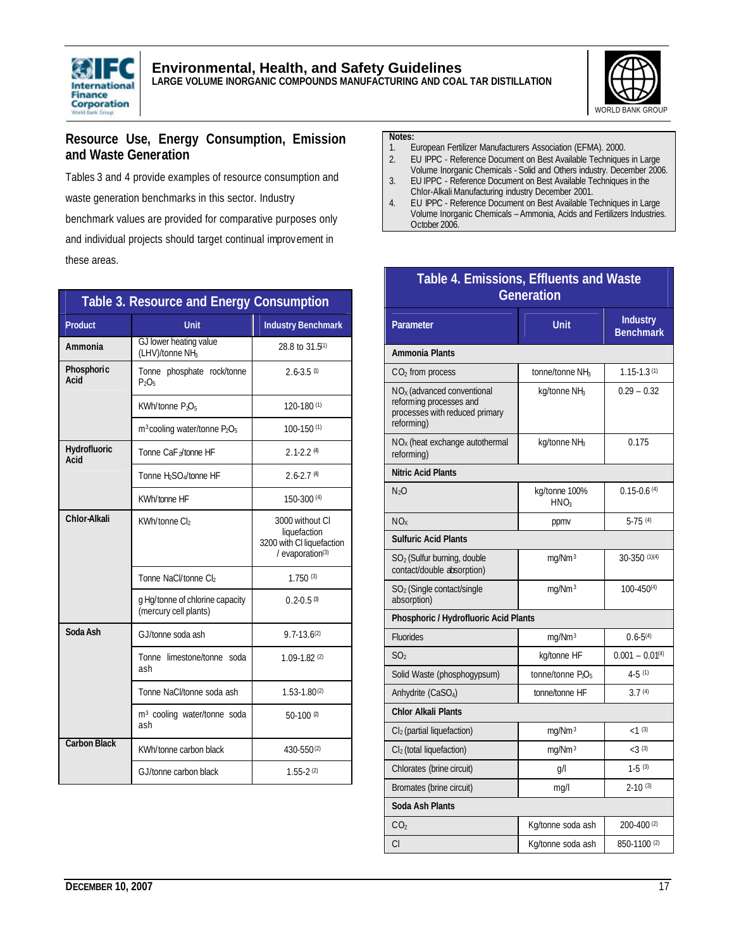



#### **Resource Use, Energy Consumption, Emission and Waste Generation**

Tables 3 and 4 provide examples of resource consumption and waste generation benchmarks in this sector. Industry benchmark values are provided for comparative purposes only and individual projects should target continual improvement in these areas.

| Table 3. Resource and Energy Consumption |                                                                  |                                                                                  |  |  |
|------------------------------------------|------------------------------------------------------------------|----------------------------------------------------------------------------------|--|--|
| <b>Product</b>                           | <b>Unit</b>                                                      | <b>Industry Benchmark</b>                                                        |  |  |
| Ammonia                                  | GJ lower heating value<br>(LHV)/tonne NH <sub>3</sub>            | 28.8 to 31.5 <sup>(1)</sup>                                                      |  |  |
| Phosphoric<br>Acid                       | Tonne phosphate rock/tonne<br>$P_2O_5$                           | $2.6 - 3.5$ <sup>(1)</sup>                                                       |  |  |
|                                          | KWh/tonne $P_2O_5$                                               | $120 - 180(1)$                                                                   |  |  |
|                                          | m <sup>3</sup> cooling water/tonne P <sub>2</sub> O <sub>5</sub> | $100 - 150(1)$                                                                   |  |  |
| Hydrofluoric<br>Acid                     | Tonne CaF √tonne HF                                              | $2.1 - 2.2$ $(4)$                                                                |  |  |
|                                          | Tonne H <sub>&gt;</sub> SO <sub>4</sub> /tonne HF                | $2.6 - 2.7$ (4)                                                                  |  |  |
|                                          | KWh/tonne HF                                                     | 150-300 (4)                                                                      |  |  |
| Chlor-Alkali                             | KWh/tonne Cl <sub>2</sub>                                        | 3000 without CI<br>liquefaction<br>3200 with CI liquefaction<br>/ evaporation(3) |  |  |
|                                          | Tonne NaCl/tonne Cl <sub>2</sub>                                 | 1.750(3)                                                                         |  |  |
|                                          | g Hg/tonne of chlorine capacity<br>(mercury cell plants)         | $0.2 - 0.5$ <sup>(3)</sup>                                                       |  |  |
| Soda Ash                                 | G.J/tonne soda ash                                               | $9.7 - 13.6^{(2)}$                                                               |  |  |
|                                          | Tonne limestone/tonne soda<br>ash                                | $1.09 - 1.82$ <sup>(2)</sup>                                                     |  |  |
|                                          | Tonne NaCl/tonne soda ash                                        | $1.53 - 1.80(2)$                                                                 |  |  |
|                                          | $m3$ cooling water/tonne soda<br>ash                             | 50-100 $\%$                                                                      |  |  |
| <b>Carbon Black</b>                      | KWh/tonne carbon black                                           | 430-550(2)                                                                       |  |  |
|                                          | GJ/tonne carbon black                                            | $1.55 - 2^{(2)}$                                                                 |  |  |

#### **Notes:**

October 2006.

- 1. European Fertilizer Manufacturers Association (EFMA). 2000.
- 2. EU IPPC Reference Document on Best Available Techniques in Large
- Volume Inorganic Chemicals Solid and Others industry. December 2006. 3. EU IPPC - Reference Document on Best Available Techniques in the
- Chlor-Alkali Manufacturing industry December 2001. 4. EU IPPC - Reference Document on Best Available Techniques in Large Volume Inorganic Chemicals – Ammonia, Acids and Fertilizers Industries.

| Table 4. Emissions, Effluents and Waste<br><b>Generation</b>                                                      |                                           |                                     |  |  |
|-------------------------------------------------------------------------------------------------------------------|-------------------------------------------|-------------------------------------|--|--|
| Parameter                                                                                                         | <b>Unit</b>                               | <b>Industry</b><br><b>Benchmark</b> |  |  |
| Ammonia Plants                                                                                                    |                                           |                                     |  |  |
| $CO2$ from process                                                                                                | tonne/tonne NH <sub>3</sub>               | $1.15 - 1.3(1)$                     |  |  |
| NO <sub>x</sub> (advanced conventional<br>reforming processes and<br>processes with reduced primary<br>reforming) | kg/tonne NH <sub>3</sub>                  | $0.29 - 0.32$                       |  |  |
| NO <sub>x</sub> (heat exchange autothermal<br>reforming)                                                          | kg/tonne NH <sub>3</sub>                  | 0.175                               |  |  |
| <b>Nitric Acid Plants</b>                                                                                         |                                           |                                     |  |  |
| N <sub>2</sub> O                                                                                                  | kg/tonne 100%<br>HNO <sub>3</sub>         | $0.15 - 0.6$ (4)                    |  |  |
| NO <sub>x</sub>                                                                                                   | ppmv                                      | $5-75(4)$                           |  |  |
| <b>Sulfuric Acid Plants</b>                                                                                       |                                           |                                     |  |  |
| $SO2$ (Sulfur burning, double<br>contact/double absorption)                                                       | mg/Nm <sup>3</sup>                        | $30-350$ $(1)(4)$                   |  |  |
| $SO2$ (Single contact/single<br>absorption)                                                                       | mg/Nm <sup>3</sup>                        | $100 - 450^{(4)}$                   |  |  |
| Phosphoric / Hydrofluoric Acid Plants                                                                             |                                           |                                     |  |  |
| <b>Fluorides</b>                                                                                                  | mg/Nm <sup>3</sup>                        | $0.6 - 5^{(4)}$                     |  |  |
| SO <sub>2</sub>                                                                                                   | kg/tonne HF                               | $0.001 - 0.01^{(4)}$                |  |  |
| Solid Waste (phosphogypsum)                                                                                       | tonne/tonne P <sub>2</sub> O <sub>5</sub> | $4-5$ (1)                           |  |  |
| Anhydrite (CaSO <sub>4</sub> )                                                                                    | tonne/tonne HF                            | 3.7 <sup>(4)</sup>                  |  |  |
| <b>Chlor Alkali Plants</b>                                                                                        |                                           |                                     |  |  |
| $Cl2$ (partial liquefaction)                                                                                      | mg/Nm <sup>3</sup>                        | $<1$ (3)                            |  |  |
| $Cl2$ (total liquefaction)                                                                                        | mg/Nm <sup>3</sup>                        | $<3^{(3)}$                          |  |  |
| Chlorates (brine circuit)                                                                                         | g/l                                       | $1-5(3)$                            |  |  |
| Bromates (brine circuit)                                                                                          | mg/l                                      | $2 - 10(3)$                         |  |  |
| Soda Ash Plants                                                                                                   |                                           |                                     |  |  |
| CO <sub>2</sub>                                                                                                   | Kg/tonne soda ash                         | 200-400 (2)                         |  |  |
| <b>CI</b>                                                                                                         | Kg/tonne soda ash                         | 850-1100 (2)                        |  |  |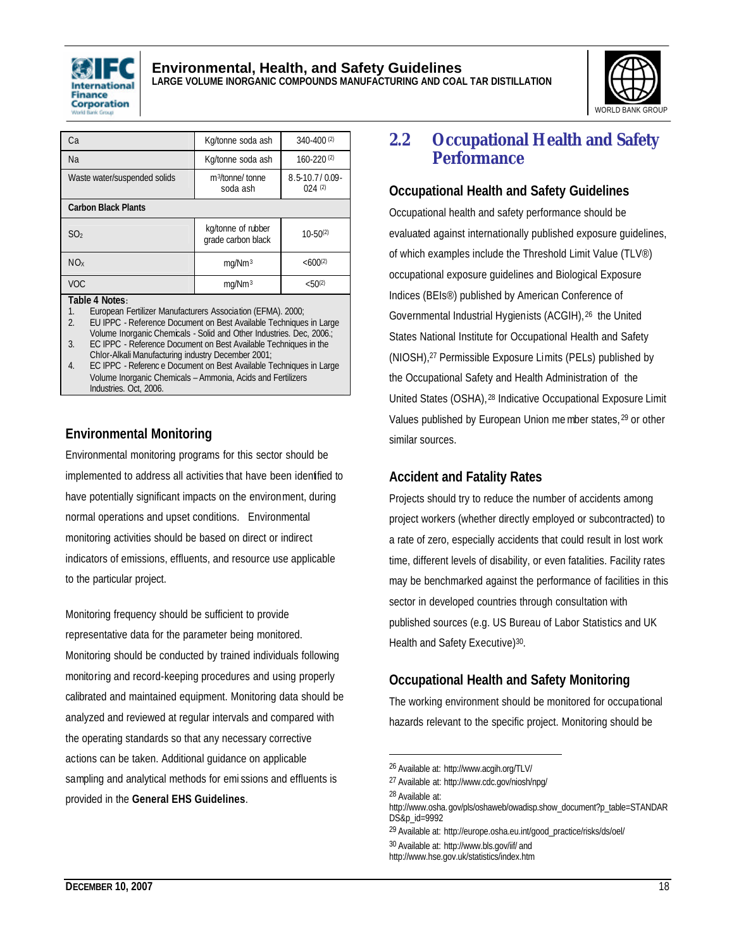



| Ca                           | Kg/tonne soda ash                        | 340-400 (2)                     |  |
|------------------------------|------------------------------------------|---------------------------------|--|
| Na                           | Kg/tonne soda ash                        | $160-220(2)$                    |  |
| Waste water/suspended solids | m <sup>3</sup> /tonne/tonne<br>soda ash  | $8.5 - 10.7 / 0.09 -$<br>024(2) |  |
| <b>Carbon Black Plants</b>   |                                          |                                 |  |
| SO <sub>2</sub>              | kg/tonne of rubber<br>grade carbon black | $10 - 50^{(2)}$                 |  |
| NO <sub>x</sub>              | mq/Nm <sup>3</sup>                       | $&500^{(2)}$                    |  |
| <b>VOC</b>                   | mq/Nm <sup>3</sup>                       | $< 50^{(2)}$                    |  |
| <del>.</del>                 |                                          |                                 |  |

#### **Table 4 Notes:**

1. European Fertilizer Manufacturers Association (EFMA). 2000;

- 2. EU IPPC Reference Document on Best Available Techniques in Large Volume Inorganic Chemicals - Solid and Other Industries. Dec, 2006.;
- 3. EC IPPC Reference Document on Best Available Techniques in the Chlor-Alkali Manufacturing industry December 2001;
- 4. EC IPPC Referenc e Document on Best Available Techniques in Large Volume Inorganic Chemicals – Ammonia, Acids and Fertilizers Industries. Oct, 2006.

#### **Environmental Monitoring**

Environmental monitoring programs for this sector should be implemented to address all activities that have been identified to have potentially significant impacts on the environment, during normal operations and upset conditions. Environmental monitoring activities should be based on direct or indirect indicators of emissions, effluents, and resource use applicable to the particular project.

Monitoring frequency should be sufficient to provide representative data for the parameter being monitored. Monitoring should be conducted by trained individuals following monitoring and record-keeping procedures and using properly calibrated and maintained equipment. Monitoring data should be analyzed and reviewed at regular intervals and compared with the operating standards so that any necessary corrective actions can be taken. Additional guidance on applicable sampling and analytical methods for emi ssions and effluents is provided in the **General EHS Guidelines**.

### **2.2 Occupational Health and Safety Performance**

#### **Occupational Health and Safety Guidelines**

Occupational health and safety performance should be evaluated against internationally published exposure guidelines, of which examples include the Threshold Limit Value (TLV®) occupational exposure guidelines and Biological Exposure Indices (BEIs®) published by American Conference of Governmental Industrial Hygienists (ACGIH), <sup>26</sup> the United States National Institute for Occupational Health and Safety (NIOSH),27 Permissible Exposure Limits (PELs) published by the Occupational Safety and Health Administration of the United States (OSHA), <sup>28</sup> Indicative Occupational Exposure Limit Values published by European Union member states, <sup>29</sup> or other similar sources.

#### **Accident and Fatality Rates**

Projects should try to reduce the number of accidents among project workers (whether directly employed or subcontracted) to a rate of zero, especially accidents that could result in lost work time, different levels of disability, or even fatalities. Facility rates may be benchmarked against the performance of facilities in this sector in developed countries through consultation with published sources (e.g. US Bureau of Labor Statistics and UK Health and Safety Executive)<sup>30</sup>.

#### **Occupational Health and Safety Monitoring**

The working environment should be monitored for occupational hazards relevant to the specific project. Monitoring should be

 $\overline{a}$ 

30 Available at: http://www.bls.gov/iif/ and

<sup>26</sup> Available at: http://www.acgih.org/TLV/

<sup>27</sup> Available at: http://www.cdc.gov/niosh/npg/

<sup>28</sup> Available at:

http://www.osha.gov/pls/oshaweb/owadisp.show\_document?p\_table=STANDAR DS&p\_id=9992

<sup>29</sup> Available at: http://europe.osha.eu.int/good\_practice/risks/ds/oel/

http://www.hse.gov.uk/statistics/index.htm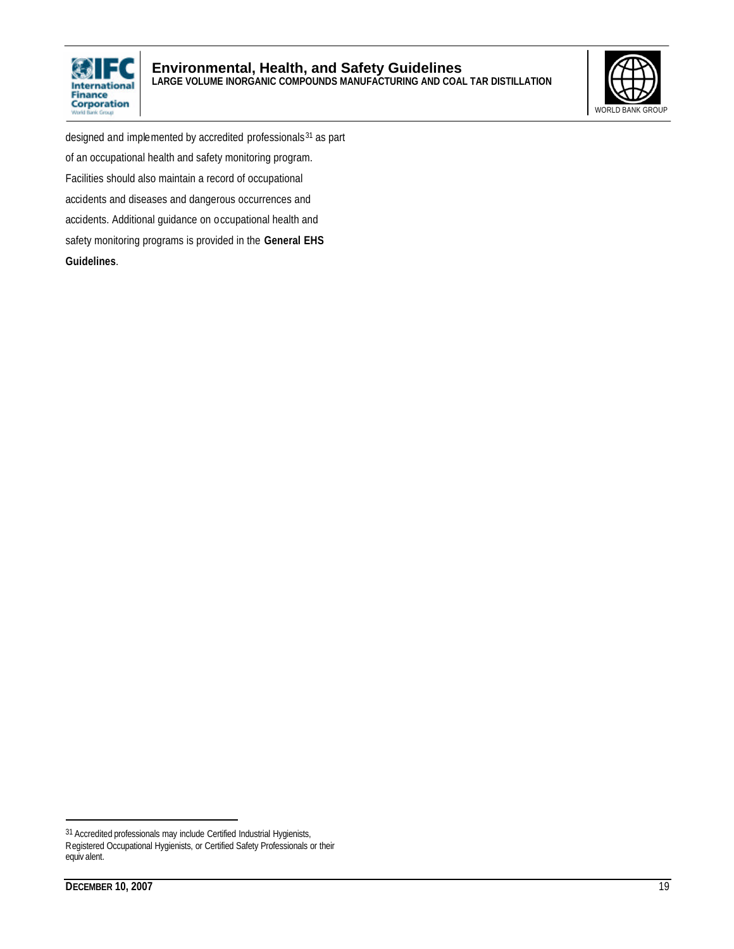



designed and implemented by accredited professionals<sup>31</sup> as part of an occupational health and safety monitoring program. Facilities should also maintain a record of occupational accidents and diseases and dangerous occurrences and accidents. Additional guidance on occupational health and safety monitoring programs is provided in the **General EHS Guidelines**.

<sup>31</sup> Accredited professionals may include Certified Industrial Hygienists, Registered Occupational Hygienists, or Certified Safety Professionals or their equiv alent.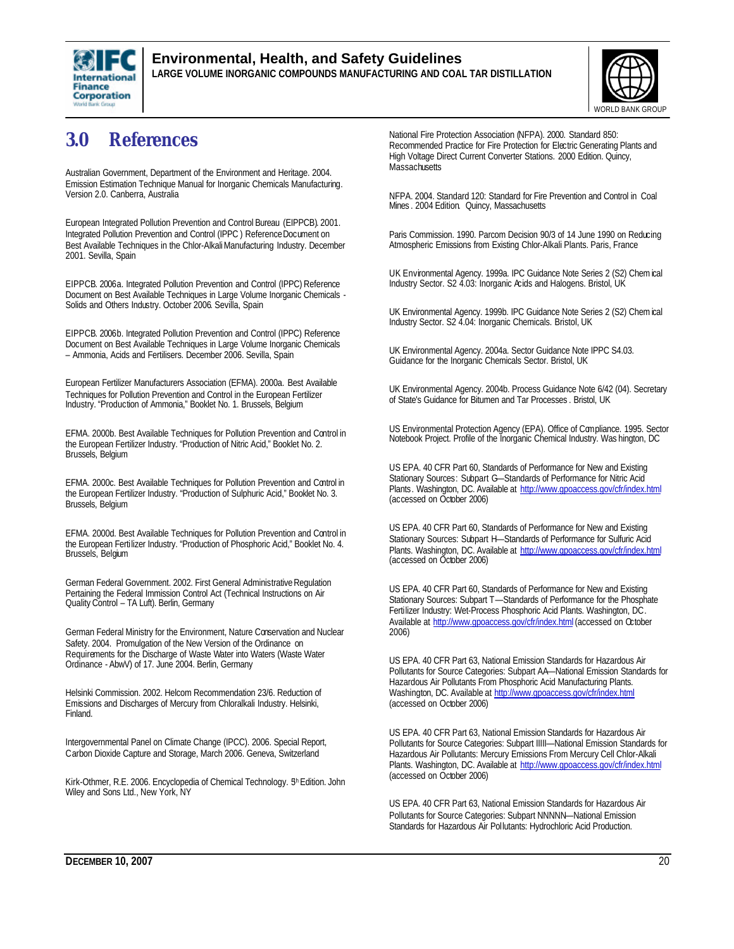

#### **Environmental, Health, and Safety Guidelines LARGE VOLUME INORGANIC COMPOUNDS MANUFACTURING AND COAL TAR DISTILLATION**



### **3.0 References**

Australian Government, Department of the Environment and Heritage. 2004. Emission Estimation Technique Manual for Inorganic Chemicals Manufacturing. Version 2.0. Canberra, Australia

European Integrated Pollution Prevention and Control Bureau (EIPPCB). 2001. Integrated Pollution Prevention and Control (IPPC ) Reference Document on Best Available Techniques in the Chlor-Alkali Manufacturing Industry. December 2001. Sevilla, Spain

EIPPCB. 2006a. Integrated Pollution Prevention and Control (IPPC) Reference Document on Best Available Techniques in Large Volume Inorganic Chemicals - Solids and Others Industry. October 2006. Sevilla, Spain

EIPPCB. 2006b. Integrated Pollution Prevention and Control (IPPC) Reference Document on Best Available Techniques in Large Volume Inorganic Chemicals – Ammonia, Acids and Fertilisers. December 2006. Sevilla, Spain

European Fertilizer Manufacturers Association (EFMA). 2000a. Best Available Techniques for Pollution Prevention and Control in the European Fertilizer Industry. "Production of Ammonia," Booklet No. 1. Brussels, Belgium

EFMA. 2000b. Best Available Techniques for Pollution Prevention and Control in the European Fertilizer Industry. "Production of Nitric Acid," Booklet No. 2. Brussels, Belgium

EFMA. 2000c. Best Available Techniques for Pollution Prevention and Control in the European Fertilizer Industry. "Production of Sulphuric Acid," Booklet No. 3. Brussels, Belgium

EFMA. 2000d. Best Available Techniques for Pollution Prevention and Control in the European Fertilizer Industry. "Production of Phosphoric Acid," Booklet No. 4. Brussels, Belgium

German Federal Government. 2002. First General Administrative Regulation Pertaining the Federal Immission Control Act (Technical Instructions on Air Quality Control – TA Luft). Berlin, Germany

German Federal Ministry for the Environment, Nature Conservation and Nuclear Safety. 2004. Promulgation of the New Version of the Ordinance on Requirements for the Discharge of Waste Water into Waters (Waste Water Ordinance - AbwV) of 17. June 2004. Berlin, Germany

Helsinki Commission. 2002. Helcom Recommendation 23/6. Reduction of Emissions and Discharges of Mercury from Chloralkali Industry. Helsinki, Finland.

Intergovernmental Panel on Climate Change (IPCC). 2006. Special Report, Carbon Dioxide Capture and Storage, March 2006. Geneva, Switzerland

Kirk-Othmer, R.E. 2006. Encyclopedia of Chemical Technology. 5<sup>h</sup> Edition. John Wiley and Sons Ltd., New York, NY

National Fire Protection Association (NFPA). 2000. Standard 850: Recommended Practice for Fire Protection for Electric Generating Plants and High Voltage Direct Current Converter Stations. 2000 Edition. Quincy, **Massachusetts** 

NFPA. 2004. Standard 120: Standard for Fire Prevention and Control in Coal Mines . 2004 Edition. Quincy, Massachusetts

Paris Commission. 1990. Parcom Decision 90/3 of 14 June 1990 on Reducing Atmospheric Emissions from Existing Chlor-Alkali Plants. Paris, France

UK Environmental Agency. 1999a. IPC Guidance Note Series 2 (S2) Chemical Industry Sector. S2 4.03: Inorganic Acids and Halogens. Bristol, UK

UK Environmental Agency. 1999b. IPC Guidance Note Series 2 (S2) Chemical Industry Sector. S2 4.04: Inorganic Chemicals. Bristol, UK

UK Environmental Agency. 2004a. Sector Guidance Note IPPC S4.03. Guidance for the Inorganic Chemicals Sector. Bristol, UK

UK Environmental Agency. 2004b. Process Guidance Note 6/42 (04). Secretary of State's Guidance for Bitumen and Tar Processes . Bristol, UK

US Environmental Protection Agency (EPA). Office of Compliance. 1995. Sector Notebook Project. Profile of the Inorganic Chemical Industry. Was hington, DC

US EPA. 40 CFR Part 60, Standards of Performance for New and Existing Stationary Sources: Subpart G—Standards of Performance for Nitric Acid Plants. Washington, DC. Available at http://www.gpoaccess.gov/cfr/index.html (accessed on October 2006)

US EPA. 40 CFR Part 60, Standards of Performance for New and Existing Stationary Sources: Subpart H—Standards of Performance for Sulfuric Acid Plants. Washington, DC. Available at http://www.gpoaccess.gov/cfr/index.html (accessed on October 2006)

US EPA. 40 CFR Part 60, Standards of Performance for New and Existing Stationary Sources: Subpart T—Standards of Performance for the Phosphate Fertilizer Industry: Wet-Process Phosphoric Acid Plants. Washington, DC. Available at http://www.gpoaccess.gov/cfr/index.html (accessed on October 2006)

US EPA. 40 CFR Part 63, National Emission Standards for Hazardous Air Pollutants for Source Categories: Subpart AA—National Emission Standards for Hazardous Air Pollutants From Phosphoric Acid Manufacturing Plants. Washington, DC. Available at http://www.gpoaccess.gov/cfr/index.html (accessed on October 2006)

US EPA. 40 CFR Part 63, National Emission Standards for Hazardous Air Pollutants for Source Categories: Subpart IIIII-National Emission Standards for Hazardous Air Pollutants: Mercury Emissions From Mercury Cell Chlor-Alkali Plants. Washington, DC. Available at http://www.gpoaccess.gov/cfr/index.html (accessed on October 2006)

US EPA. 40 CFR Part 63, National Emission Standards for Hazardous Air Pollutants for Source Categories: Subpart NNNNN—National Emission Standards for Hazardous Air Pollutants: Hydrochloric Acid Production.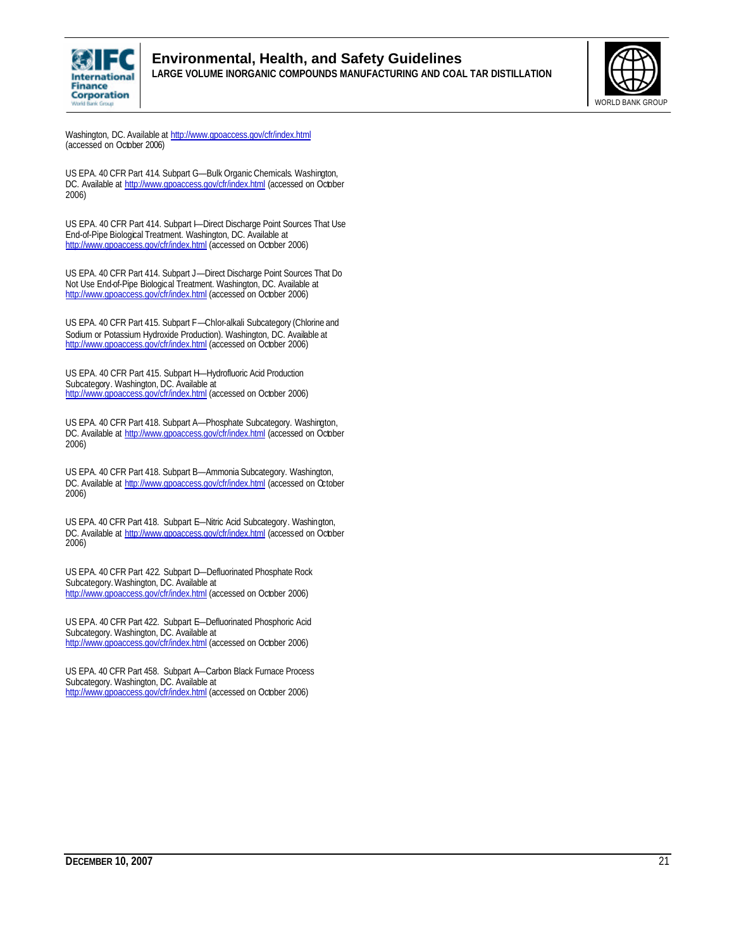



Washington, DC. Available at http://www.gpoaccess.gov/cfr/index.html (accessed on October 2006)

US EPA. 40 CFR Part 414. Subpart G—Bulk Organic Chemicals. Washington, DC. Available at http://www.gpoaccess.gov/cfr/index.html (accessed on October 2006)

US EPA. 40 CFR Part 414. Subpart I-Direct Discharge Point Sources That Use End-of-Pipe Biological Treatment. Washington, DC. Available at http://www.gpoaccess.gov/cfr/index.html (accessed on October 2006)

US EPA. 40 CFR Part 414. Subpart J—Direct Discharge Point Sources That Do Not Use End-of-Pipe Biological Treatment. Washington, DC. Available at http://www.gpoaccess.gov/cfr/index.html (accessed on October 2006)

US EPA. 40 CFR Part 415. Subpart F—Chlor-alkali Subcategory (Chlorine and Sodium or Potassium Hydroxide Production). Washington, DC. Available at http://www.gpoaccess.gov/cfr/index.html (accessed on October 2006)

US EPA. 40 CFR Part 415. Subpart H—Hydrofluoric Acid Production Subcategory. Washington, DC. Available at http://www.gpoaccess.gov/cfr/index.html (accessed on October 2006)

US EPA. 40 CFR Part 418. Subpart A—Phosphate Subcategory. Washington, DC. Available at http://www.gpoaccess.gov/cfr/index.html (accessed on October 2006)

US EPA. 40 CFR Part 418. Subpart B—Ammonia Subcategory. Washington, DC. Available at http://www.gpoaccess.gov/cfr/index.html (accessed on October 2006)

US EPA. 40 CFR Part 418. Subpart E—Nitric Acid Subcategory. Washington, DC. Available at http://www.gpoaccess.gov/cfr/index.html (accessed on October 2006)

US EPA. 40 CFR Part 422. Subpart D—Defluorinated Phosphate Rock Subcategory. Washington, DC. Available at http://www.gpoaccess.gov/cfr/index.html (accessed on October 2006)

US EPA. 40 CFR Part 422. Subpart E—Defluorinated Phosphoric Acid Subcategory. Washington, DC. Available at http://www.gpoaccess.gov/cfr/index.html (accessed on October 2006)

US EPA. 40 CFR Part 458. Subpart A—Carbon Black Furnace Process Subcategory. Washington, DC. Available at http://www.gpoaccess.gov/cfr/index.html (accessed on October 2006)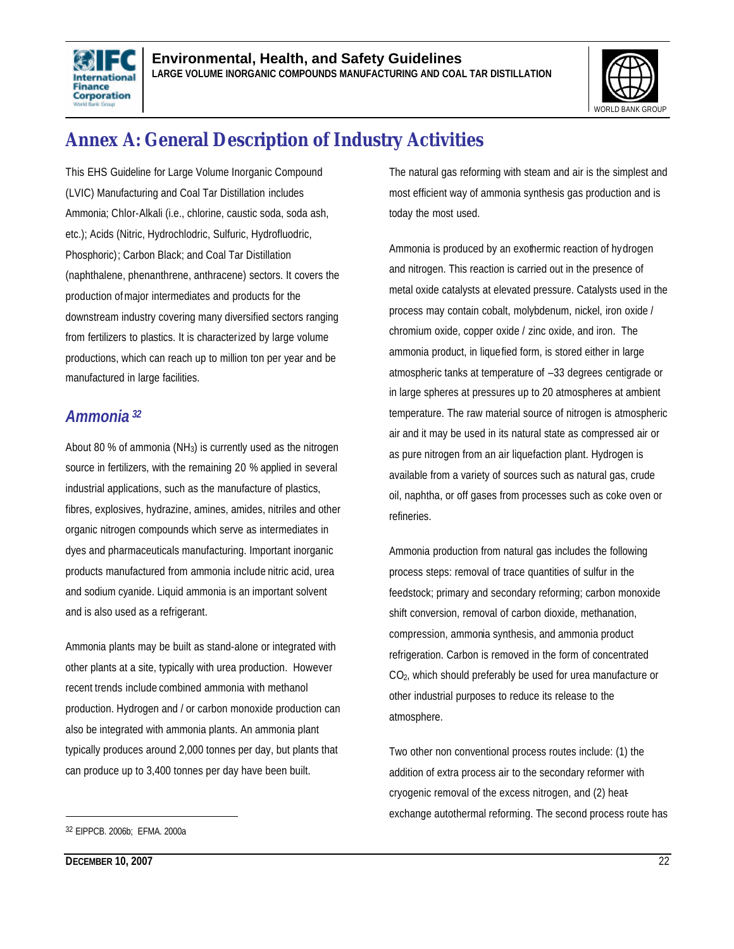



## **Annex A: General Description of Industry Activities**

This EHS Guideline for Large Volume Inorganic Compound (LVIC) Manufacturing and Coal Tar Distillation includes Ammonia; Chlor-Alkali (i.e., chlorine, caustic soda, soda ash, etc.); Acids (Nitric, Hydrochlodric, Sulfuric, Hydrofluodric, Phosphoric); Carbon Black; and Coal Tar Distillation (naphthalene, phenanthrene, anthracene) sectors. It covers the production of major intermediates and products for the downstream industry covering many diversified sectors ranging from fertilizers to plastics. It is characterized by large volume productions, which can reach up to million ton per year and be manufactured in large facilities.

### *Ammonia <sup>32</sup>*

About 80 % of ammonia ( $NH<sub>3</sub>$ ) is currently used as the nitrogen source in fertilizers, with the remaining 20 % applied in several industrial applications, such as the manufacture of plastics, fibres, explosives, hydrazine, amines, amides, nitriles and other organic nitrogen compounds which serve as intermediates in dyes and pharmaceuticals manufacturing. Important inorganic products manufactured from ammonia include nitric acid, urea and sodium cyanide. Liquid ammonia is an important solvent and is also used as a refrigerant.

Ammonia plants may be built as stand-alone or integrated with other plants at a site, typically with urea production. However recent trends include combined ammonia with methanol production. Hydrogen and / or carbon monoxide production can also be integrated with ammonia plants. An ammonia plant typically produces around 2,000 tonnes per day, but plants that can produce up to 3,400 tonnes per day have been built.

The natural gas reforming with steam and air is the simplest and most efficient way of ammonia synthesis gas production and is today the most used.

Ammonia is produced by an exothermic reaction of hydrogen and nitrogen. This reaction is carried out in the presence of metal oxide catalysts at elevated pressure. Catalysts used in the process may contain cobalt, molybdenum, nickel, iron oxide / chromium oxide, copper oxide / zinc oxide, and iron. The ammonia product, in liquefied form, is stored either in large atmospheric tanks at temperature of –33 degrees centigrade or in large spheres at pressures up to 20 atmospheres at ambient temperature. The raw material source of nitrogen is atmospheric air and it may be used in its natural state as compressed air or as pure nitrogen from an air liquefaction plant. Hydrogen is available from a variety of sources such as natural gas, crude oil, naphtha, or off gases from processes such as coke oven or refineries.

Ammonia production from natural gas includes the following process steps: removal of trace quantities of sulfur in the feedstock; primary and secondary reforming; carbon monoxide shift conversion, removal of carbon dioxide, methanation, compression, ammonia synthesis, and ammonia product refrigeration. Carbon is removed in the form of concentrated CO2, which should preferably be used for urea manufacture or other industrial purposes to reduce its release to the atmosphere.

Two other non conventional process routes include: (1) the addition of extra process air to the secondary reformer with cryogenic removal of the excess nitrogen, and (2) heatexchange autothermal reforming. The second process route has

<sup>32</sup> EIPPCB. 2006b; EFMA. 2000a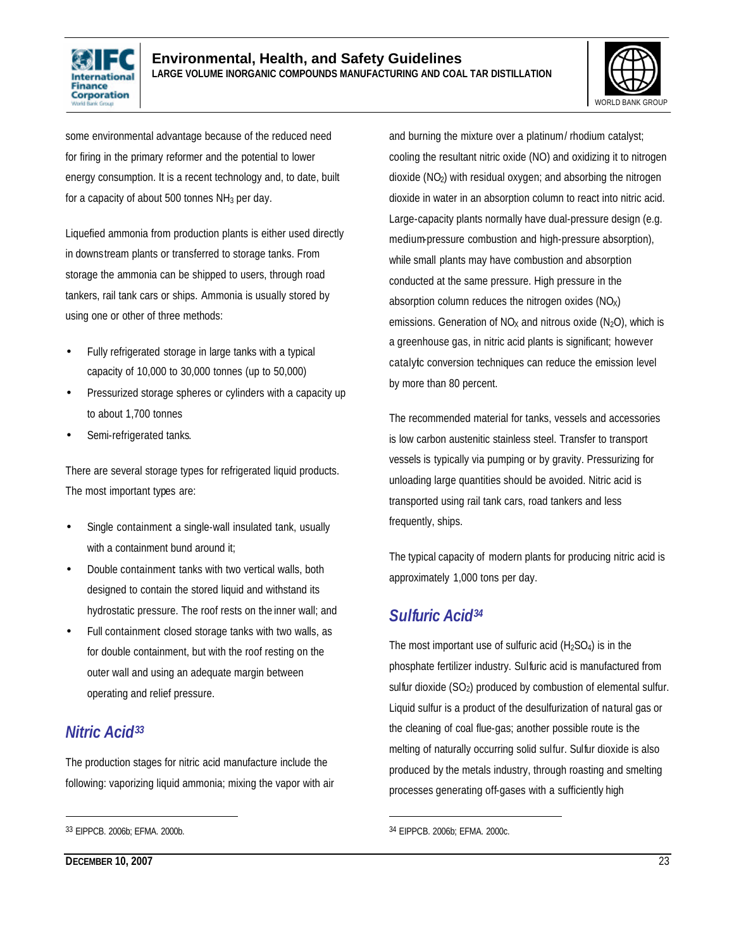



some environmental advantage because of the reduced need for firing in the primary reformer and the potential to lower energy consumption. It is a recent technology and, to date, built for a capacity of about 500 tonnes  $NH<sub>3</sub>$  per day.

Liquefied ammonia from production plants is either used directly in downstream plants or transferred to storage tanks. From storage the ammonia can be shipped to users, through road tankers, rail tank cars or ships. Ammonia is usually stored by using one or other of three methods:

- Fully refrigerated storage in large tanks with a typical capacity of 10,000 to 30,000 tonnes (up to 50,000)
- Pressurized storage spheres or cylinders with a capacity up to about 1,700 tonnes
- Semi-refrigerated tanks.

There are several storage types for refrigerated liquid products. The most important types are:

- Single containment a single-wall insulated tank, usually with a containment bund around it:
- Double containment: tanks with two vertical walls, both designed to contain the stored liquid and withstand its hydrostatic pressure. The roof rests on the inner wall; and
- Full containment: closed storage tanks with two walls, as for double containment, but with the roof resting on the outer wall and using an adequate margin between operating and relief pressure.

### *Nitric Acid<sup>33</sup>*

The production stages for nitric acid manufacture include the following: vaporizing liquid ammonia; mixing the vapor with air and burning the mixture over a platinum/ rhodium catalyst; cooling the resultant nitric oxide (NO) and oxidizing it to nitrogen dioxide (NO2) with residual oxygen; and absorbing the nitrogen dioxide in water in an absorption column to react into nitric acid. Large-capacity plants normally have dual-pressure design (e.g. medium-pressure combustion and high-pressure absorption), while small plants may have combustion and absorption conducted at the same pressure. High pressure in the absorption column reduces the nitrogen oxides  $(NO<sub>X</sub>)$ emissions. Generation of  $NO<sub>x</sub>$  and nitrous oxide ( $N<sub>2</sub>O$ ), which is a greenhouse gas, in nitric acid plants is significant; however catalytc conversion techniques can reduce the emission level by more than 80 percent.

The recommended material for tanks, vessels and accessories is low carbon austenitic stainless steel. Transfer to transport vessels is typically via pumping or by gravity. Pressurizing for unloading large quantities should be avoided. Nitric acid is transported using rail tank cars, road tankers and less frequently, ships.

The typical capacity of modern plants for producing nitric acid is approximately 1,000 tons per day.

### *Sulfuric Acid<sup>34</sup>*

The most important use of sulfuric acid  $(H<sub>2</sub>SO<sub>4</sub>)$  is in the phosphate fertilizer industry. Sulfuric acid is manufactured from sulfur dioxide (SO<sub>2</sub>) produced by combustion of elemental sulfur. Liquid sulfur is a product of the desulfurization of natural gas or the cleaning of coal flue-gas; another possible route is the melting of naturally occurring solid sulfur. Sulfur dioxide is also produced by the metals industry, through roasting and smelting processes generating off-gases with a sufficiently high

 $\overline{a}$ 

<sup>33</sup> EIPPCB. 2006b; EFMA. 2000b.

<sup>34</sup> EIPPCB. 2006b; EFMA. 2000c.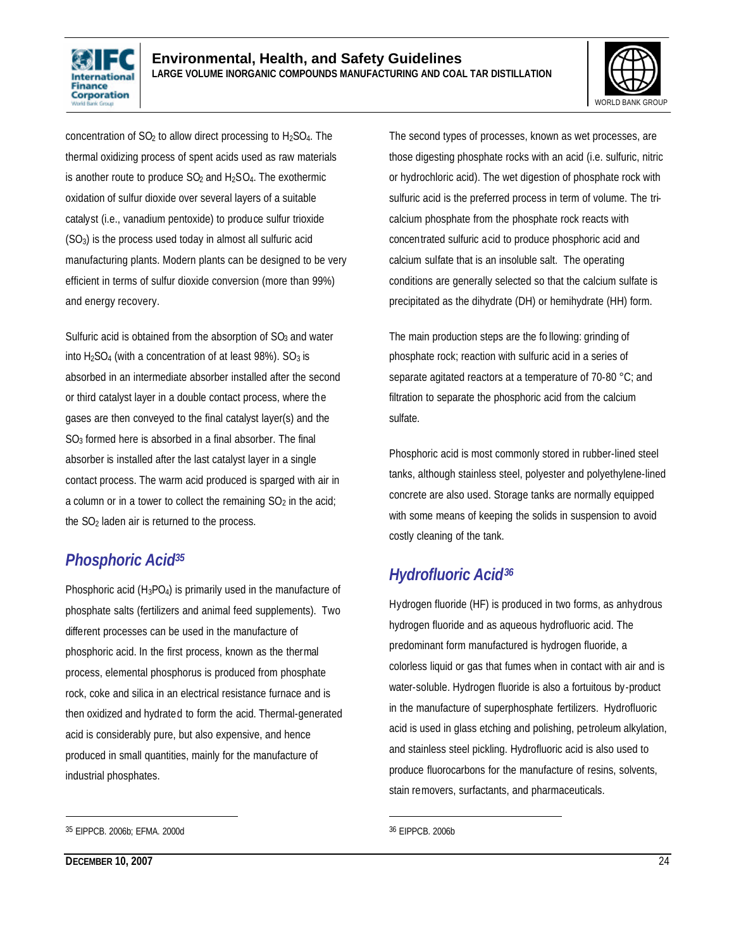



concentration of  $SO<sub>2</sub>$  to allow direct processing to  $H<sub>2</sub>SO<sub>4</sub>$ . The thermal oxidizing process of spent acids used as raw materials is another route to produce  $SO<sub>2</sub>$  and  $H<sub>2</sub>SO<sub>4</sub>$ . The exothermic oxidation of sulfur dioxide over several layers of a suitable catalyst (i.e., vanadium pentoxide) to produce sulfur trioxide (SO3) is the process used today in almost all sulfuric acid manufacturing plants. Modern plants can be designed to be very efficient in terms of sulfur dioxide conversion (more than 99%) and energy recovery.

Sulfuric acid is obtained from the absorption of  $SO<sub>3</sub>$  and water into  $H<sub>2</sub>SO<sub>4</sub>$  (with a concentration of at least 98%). SO<sub>3</sub> is absorbed in an intermediate absorber installed after the second or third catalyst layer in a double contact process, where the gases are then conveyed to the final catalyst layer(s) and the  $SO<sub>3</sub>$  formed here is absorbed in a final absorber. The final absorber is installed after the last catalyst layer in a single contact process. The warm acid produced is sparged with air in a column or in a tower to collect the remaining  $SO<sub>2</sub>$  in the acid; the SO2 laden air is returned to the process.

#### *Phosphoric Acid<sup>35</sup>*

Phosphoric acid (H3PO4) is primarily used in the manufacture of phosphate salts (fertilizers and animal feed supplements). Two different processes can be used in the manufacture of phosphoric acid. In the first process, known as the thermal process, elemental phosphorus is produced from phosphate rock, coke and silica in an electrical resistance furnace and is then oxidized and hydrated to form the acid. Thermal-generated acid is considerably pure, but also expensive, and hence produced in small quantities, mainly for the manufacture of industrial phosphates.

The second types of processes, known as wet processes, are those digesting phosphate rocks with an acid (i.e. sulfuric, nitric or hydrochloric acid). The wet digestion of phosphate rock with sulfuric acid is the preferred process in term of volume. The tricalcium phosphate from the phosphate rock reacts with concentrated sulfuric acid to produce phosphoric acid and calcium sulfate that is an insoluble salt. The operating conditions are generally selected so that the calcium sulfate is precipitated as the dihydrate (DH) or hemihydrate (HH) form.

The main production steps are the fo llowing: grinding of phosphate rock; reaction with sulfuric acid in a series of separate agitated reactors at a temperature of 70-80 °C; and filtration to separate the phosphoric acid from the calcium sulfate.

Phosphoric acid is most commonly stored in rubber-lined steel tanks, although stainless steel, polyester and polyethylene-lined concrete are also used. Storage tanks are normally equipped with some means of keeping the solids in suspension to avoid costly cleaning of the tank.

### *Hydrofluoric Acid<sup>36</sup>*

Hydrogen fluoride (HF) is produced in two forms, as anhydrous hydrogen fluoride and as aqueous hydrofluoric acid. The predominant form manufactured is hydrogen fluoride, a colorless liquid or gas that fumes when in contact with air and is water-soluble. Hydrogen fluoride is also a fortuitous by-product in the manufacture of superphosphate fertilizers. Hydrofluoric acid is used in glass etching and polishing, petroleum alkylation, and stainless steel pickling. Hydrofluoric acid is also used to produce fluorocarbons for the manufacture of resins, solvents, stain removers, surfactants, and pharmaceuticals.

 $\overline{a}$ 

<sup>35</sup> EIPPCB. 2006b; EFMA. 2000d

<sup>36</sup> EIPPCB. 2006b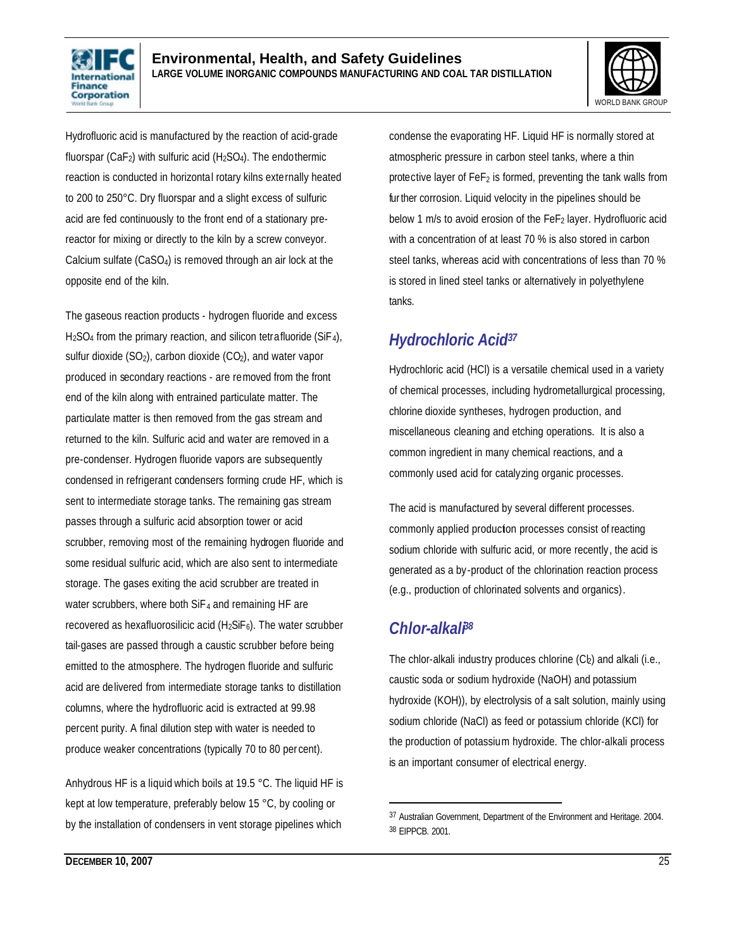



Hydrofluoric acid is manufactured by the reaction of acid-grade fluorspar (CaF<sub>2</sub>) with sulfuric acid (H<sub>2</sub>SO<sub>4</sub>). The endothermic reaction is conducted in horizontal rotary kilns externally heated to 200 to 250°C. Dry fluorspar and a slight excess of sulfuric acid are fed continuously to the front end of a stationary prereactor for mixing or directly to the kiln by a screw conveyor. Calcium sulfate (CaSO4) is removed through an air lock at the opposite end of the kiln.

The gaseous reaction products - hydrogen fluoride and excess H<sub>2</sub>SO<sub>4</sub> from the primary reaction, and silicon tetrafluoride (SiF<sub>4</sub>), sulfur dioxide  $(SO_2)$ , carbon dioxide  $(CO_2)$ , and water vapor produced in secondary reactions - are removed from the front end of the kiln along with entrained particulate matter. The particulate matter is then removed from the gas stream and returned to the kiln. Sulfuric acid and water are removed in a pre-condenser. Hydrogen fluoride vapors are subsequently condensed in refrigerant condensers forming crude HF, which is sent to intermediate storage tanks. The remaining gas stream passes through a sulfuric acid absorption tower or acid scrubber, removing most of the remaining hydrogen fluoride and some residual sulfuric acid, which are also sent to intermediate storage. The gases exiting the acid scrubber are treated in water scrubbers, where both  $SIF_4$  and remaining HF are recovered as hexafluorosilicic acid  $(H_2SIF_6)$ . The water scrubber tail-gases are passed through a caustic scrubber before being emitted to the atmosphere. The hydrogen fluoride and sulfuric acid are delivered from intermediate storage tanks to distillation columns, where the hydrofluoric acid is extracted at 99.98 percent purity. A final dilution step with water is needed to produce weaker concentrations (typically 70 to 80 per cent).

Anhydrous HF is a liquid which boils at 19.5 °C. The liquid HF is kept at low temperature, preferably below 15 °C, by cooling or by the installation of condensers in vent storage pipelines which

condense the evaporating HF. Liquid HF is normally stored at atmospheric pressure in carbon steel tanks, where a thin protective layer of  $FeF<sub>2</sub>$  is formed, preventing the tank walls from further corrosion. Liquid velocity in the pipelines should be below 1 m/s to avoid erosion of the  $FeF<sub>2</sub>$  layer. Hydrofluoric acid with a concentration of at least 70 % is also stored in carbon steel tanks, whereas acid with concentrations of less than 70 % is stored in lined steel tanks or alternatively in polyethylene tanks.

### *Hydrochloric Acid<sup>37</sup>*

Hydrochloric acid (HCl) is a versatile chemical used in a variety of chemical processes, including hydrometallurgical processing, chlorine dioxide syntheses, hydrogen production, and miscellaneous cleaning and etching operations. It is also a common ingredient in many chemical reactions, and a commonly used acid for catalyzing organic processes.

The acid is manufactured by several different processes. commonly applied production processes consist of reacting sodium chloride with sulfuric acid, or more recently, the acid is generated as a by-product of the chlorination reaction process (e.g., production of chlorinated solvents and organics).

### *Chlor-alkali<sup>38</sup>*

 $\overline{a}$ 

The chlor-alkali industry produces chlorine (Cl2) and alkali (i.e., caustic soda or sodium hydroxide (NaOH) and potassium hydroxide (KOH)), by electrolysis of a salt solution, mainly using sodium chloride (NaCl) as feed or potassium chloride (KCl) for the production of potassium hydroxide. The chlor-alkali process is an important consumer of electrical energy.

<sup>37</sup> Australian Government, Department of the Environment and Heritage. 2004. 38 EIPPCB. 2001.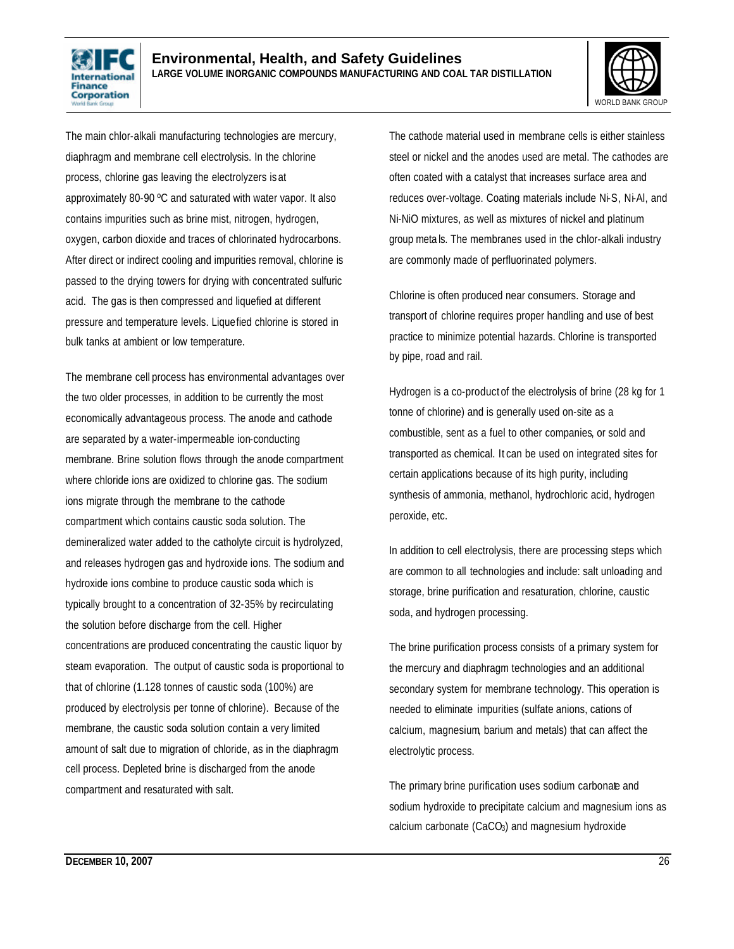



The main chlor-alkali manufacturing technologies are mercury, diaphragm and membrane cell electrolysis. In the chlorine process, chlorine gas leaving the electrolyzers is at approximately 80-90 ºC and saturated with water vapor. It also contains impurities such as brine mist, nitrogen, hydrogen, oxygen, carbon dioxide and traces of chlorinated hydrocarbons. After direct or indirect cooling and impurities removal, chlorine is passed to the drying towers for drying with concentrated sulfuric acid. The gas is then compressed and liquefied at different pressure and temperature levels. Liquefied chlorine is stored in bulk tanks at ambient or low temperature.

The membrane cell process has environmental advantages over the two older processes, in addition to be currently the most economically advantageous process. The anode and cathode are separated by a water-impermeable ion-conducting membrane. Brine solution flows through the anode compartment where chloride ions are oxidized to chlorine gas. The sodium ions migrate through the membrane to the cathode compartment which contains caustic soda solution. The demineralized water added to the catholyte circuit is hydrolyzed, and releases hydrogen gas and hydroxide ions. The sodium and hydroxide ions combine to produce caustic soda which is typically brought to a concentration of 32-35% by recirculating the solution before discharge from the cell. Higher concentrations are produced concentrating the caustic liquor by steam evaporation. The output of caustic soda is proportional to that of chlorine (1.128 tonnes of caustic soda (100%) are produced by electrolysis per tonne of chlorine). Because of the membrane, the caustic soda solution contain a very limited amount of salt due to migration of chloride, as in the diaphragm cell process. Depleted brine is discharged from the anode compartment and resaturated with salt.

The cathode material used in membrane cells is either stainless steel or nickel and the anodes used are metal. The cathodes are often coated with a catalyst that increases surface area and reduces over-voltage. Coating materials include Ni-S, Ni-Al, and Ni-NiO mixtures, as well as mixtures of nickel and platinum group meta ls. The membranes used in the chlor-alkali industry are commonly made of perfluorinated polymers.

Chlorine is often produced near consumers. Storage and transport of chlorine requires proper handling and use of best practice to minimize potential hazards. Chlorine is transported by pipe, road and rail.

Hydrogen is a co-product of the electrolysis of brine (28 kg for 1 tonne of chlorine) and is generally used on-site as a combustible, sent as a fuel to other companies, or sold and transported as chemical. It can be used on integrated sites for certain applications because of its high purity, including synthesis of ammonia, methanol, hydrochloric acid, hydrogen peroxide, etc.

In addition to cell electrolysis, there are processing steps which are common to all technologies and include: salt unloading and storage, brine purification and resaturation, chlorine, caustic soda, and hydrogen processing.

The brine purification process consists of a primary system for the mercury and diaphragm technologies and an additional secondary system for membrane technology. This operation is needed to eliminate impurities (sulfate anions, cations of calcium, magnesium, barium and metals) that can affect the electrolytic process.

The primary brine purification uses sodium carbonate and sodium hydroxide to precipitate calcium and magnesium ions as calcium carbonate (CaCO<sub>3</sub>) and magnesium hydroxide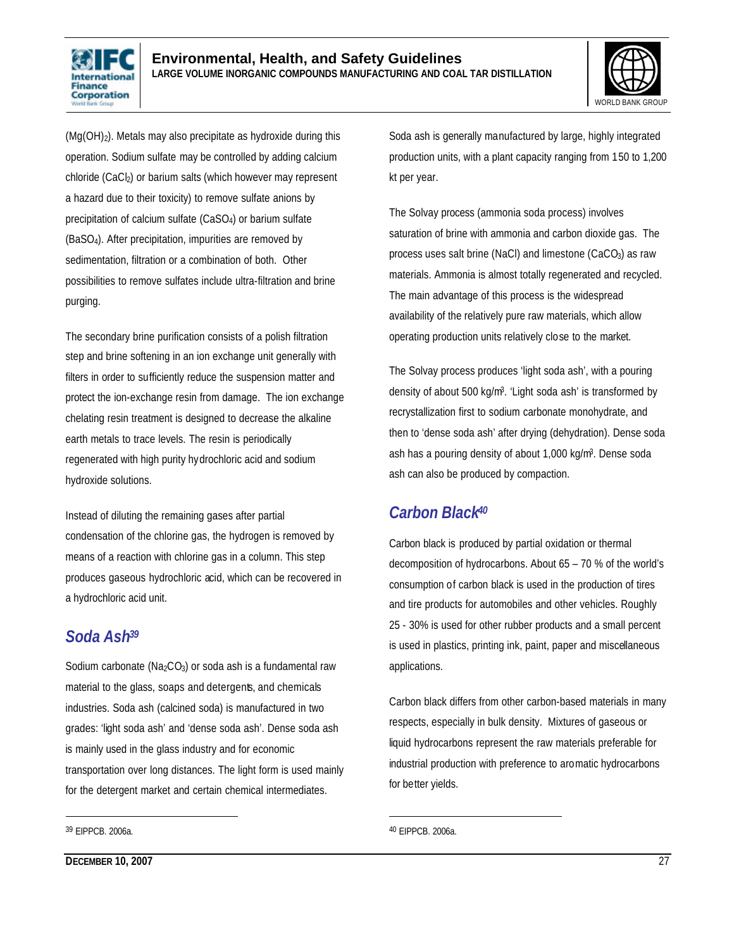



 $(Mq(OH)_2)$ . Metals may also precipitate as hydroxide during this operation. Sodium sulfate may be controlled by adding calcium chloride (CaCl<sub>2</sub>) or barium salts (which however may represent a hazard due to their toxicity) to remove sulfate anions by precipitation of calcium sulfate (CaSO4) or barium sulfate (BaSO4). After precipitation, impurities are removed by sedimentation, filtration or a combination of both. Other possibilities to remove sulfates include ultra-filtration and brine purging.

The secondary brine purification consists of a polish filtration step and brine softening in an ion exchange unit generally with filters in order to sufficiently reduce the suspension matter and protect the ion-exchange resin from damage. The ion exchange chelating resin treatment is designed to decrease the alkaline earth metals to trace levels. The resin is periodically regenerated with high purity hydrochloric acid and sodium hydroxide solutions.

Instead of diluting the remaining gases after partial condensation of the chlorine gas, the hydrogen is removed by means of a reaction with chlorine gas in a column. This step produces gaseous hydrochloric acid, which can be recovered in a hydrochloric acid unit.

#### *Soda Ash<sup>39</sup>*

Sodium carbonate ( $Na<sub>2</sub>CO<sub>3</sub>$ ) or soda ash is a fundamental raw material to the glass, soaps and detergents, and chemicals industries. Soda ash (calcined soda) is manufactured in two grades: 'light soda ash' and 'dense soda ash'. Dense soda ash is mainly used in the glass industry and for economic transportation over long distances. The light form is used mainly for the detergent market and certain chemical intermediates.

Soda ash is generally manufactured by large, highly integrated production units, with a plant capacity ranging from 150 to 1,200 kt per year.

The Solvay process (ammonia soda process) involves saturation of brine with ammonia and carbon dioxide gas. The process uses salt brine (NaCl) and limestone (CaCO3) as raw materials. Ammonia is almost totally regenerated and recycled. The main advantage of this process is the widespread availability of the relatively pure raw materials, which allow operating production units relatively close to the market.

The Solvay process produces 'light soda ash', with a pouring density of about 500 kg/m3. 'Light soda ash' is transformed by recrystallization first to sodium carbonate monohydrate, and then to 'dense soda ash' after drying (dehydration). Dense soda ash has a pouring density of about 1,000 kg/m3. Dense soda ash can also be produced by compaction.

### *Carbon Black<sup>40</sup>*

Carbon black is produced by partial oxidation or thermal decomposition of hydrocarbons. About 65 – 70 % of the world's consumption of carbon black is used in the production of tires and tire products for automobiles and other vehicles. Roughly 25 - 30% is used for other rubber products and a small percent is used in plastics, printing ink, paint, paper and miscellaneous applications.

Carbon black differs from other carbon-based materials in many respects, especially in bulk density. Mixtures of gaseous or liquid hydrocarbons represent the raw materials preferable for industrial production with preference to aromatic hydrocarbons for better yields.

 $\overline{a}$ 

<sup>39</sup> EIPPCB. 2006a.

<sup>40</sup> EIPPCB. 2006a.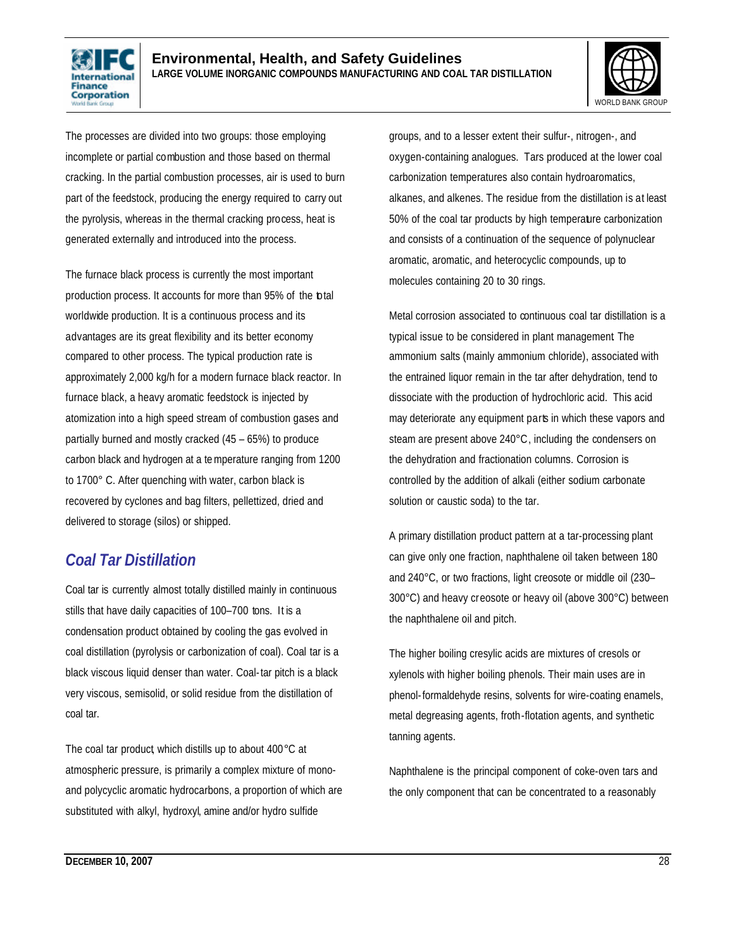



The processes are divided into two groups: those employing incomplete or partial combustion and those based on thermal cracking. In the partial combustion processes, air is used to burn part of the feedstock, producing the energy required to carry out the pyrolysis, whereas in the thermal cracking process, heat is generated externally and introduced into the process.

The furnace black process is currently the most important production process. It accounts for more than 95% of the btal worldwide production. It is a continuous process and its advantages are its great flexibility and its better economy compared to other process. The typical production rate is approximately 2,000 kg/h for a modern furnace black reactor. In furnace black, a heavy aromatic feedstock is injected by atomization into a high speed stream of combustion gases and partially burned and mostly cracked (45 – 65%) to produce carbon black and hydrogen at a temperature ranging from 1200 to 1700° C. After quenching with water, carbon black is recovered by cyclones and bag filters, pellettized, dried and delivered to storage (silos) or shipped.

### *Coal Tar Distillation*

Coal tar is currently almost totally distilled mainly in continuous stills that have daily capacities of 100–700 tons. It is a condensation product obtained by cooling the gas evolved in coal distillation (pyrolysis or carbonization of coal). Coal tar is a black viscous liquid denser than water. Coal-tar pitch is a black very viscous, semisolid, or solid residue from the distillation of coal tar.

The coal tar product, which distills up to about 400°C at atmospheric pressure, is primarily a complex mixture of monoand polycyclic aromatic hydrocarbons, a proportion of which are substituted with alkyl, hydroxyl, amine and/or hydro sulfide

groups, and to a lesser extent their sulfur-, nitrogen-, and oxygen-containing analogues. Tars produced at the lower coal carbonization temperatures also contain hydroaromatics, alkanes, and alkenes. The residue from the distillation is at least 50% of the coal tar products by high temperature carbonization and consists of a continuation of the sequence of polynuclear aromatic, aromatic, and heterocyclic compounds, up to molecules containing 20 to 30 rings.

Metal corrosion associated to continuous coal tar distillation is a typical issue to be considered in plant management. The ammonium salts (mainly ammonium chloride), associated with the entrained liquor remain in the tar after dehydration, tend to dissociate with the production of hydrochloric acid. This acid may deteriorate any equipment parts in which these vapors and steam are present above 240°C, including the condensers on the dehydration and fractionation columns. Corrosion is controlled by the addition of alkali (either sodium carbonate solution or caustic soda) to the tar.

A primary distillation product pattern at a tar-processing plant can give only one fraction, naphthalene oil taken between 180 and 240°C, or two fractions, light creosote or middle oil (230– 300°C) and heavy creosote or heavy oil (above 300°C) between the naphthalene oil and pitch.

The higher boiling cresylic acids are mixtures of cresols or xylenols with higher boiling phenols. Their main uses are in phenol-formaldehyde resins, solvents for wire-coating enamels, metal degreasing agents, froth-flotation agents, and synthetic tanning agents.

Naphthalene is the principal component of coke-oven tars and the only component that can be concentrated to a reasonably